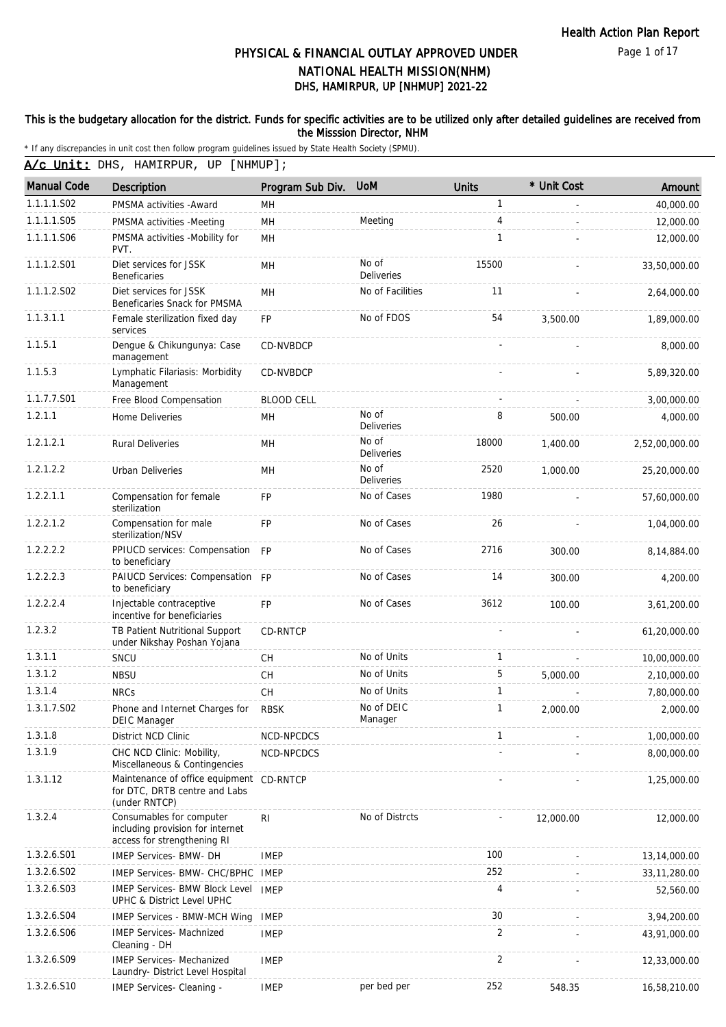Page 1 of 17

# DHS, HAMIRPUR, UP [NHMUP] 2021-22 PHYSICAL & FINANCIAL OUTLAY APPROVED UNDER NATIONAL HEALTH MISSION(NHM)

#### This is the budgetary allocation for the district. Funds for specific activities are to be utilized only after detailed guidelines are received from the Misssion Director, NHM

| A/c Unit: DHS, HAMIRPUR, UP [NHMUP]; |  |  |
|--------------------------------------|--|--|
|--------------------------------------|--|--|

| <b>Manual Code</b> | Description                                                                                 | Program Sub Div.  | <b>UoM</b>            | <b>Units</b> | * Unit Cost | Amount         |
|--------------------|---------------------------------------------------------------------------------------------|-------------------|-----------------------|--------------|-------------|----------------|
| 1.1.1.1.S02        | PMSMA activities - Award                                                                    | MН                |                       | 1            |             | 40,000.00      |
| 1.1.1.1.S05        | PMSMA activities -Meeting                                                                   | MH                | Meeting               | 4            |             | 12,000.00      |
| 1.1.1.1.S06        | PMSMA activities -Mobility for<br>PVT.                                                      | <b>MH</b>         |                       | 1            |             | 12,000.00      |
| 1.1.1.2.S01        | Diet services for JSSK<br><b>Beneficaries</b>                                               | MН                | No of<br>Deliveries   | 15500        |             | 33,50,000.00   |
| 1.1.1.2.S02        | Diet services for JSSK<br>Beneficaries Snack for PMSMA                                      | MH                | No of Facilities      | 11           |             | 2,64,000.00    |
| 1.1.3.1.1          | Female sterilization fixed day<br>services                                                  | FP                | No of FDOS            | 54           | 3,500.00    | 1,89,000.00    |
| 1.1.5.1            | Dengue & Chikungunya: Case<br>management                                                    | CD-NVBDCP         |                       |              |             | 8,000.00       |
| 1.1.5.3            | Lymphatic Filariasis: Morbidity<br>Management                                               | CD-NVBDCP         |                       |              |             | 5,89,320.00    |
| 1.1.7.7.S01        | Free Blood Compensation                                                                     | <b>BLOOD CELL</b> |                       |              |             | 3,00,000.00    |
| 1.2.1.1            | Home Deliveries                                                                             | MН                | No of<br>Deliveries   | 8            | 500.00      | 4,000.00       |
| 1.2.1.2.1          | <b>Rural Deliveries</b>                                                                     | MH                | No of<br>Deliveries   | 18000        | 1,400.00    | 2,52,00,000.00 |
| 1.2.1.2.2          | Urban Deliveries                                                                            | MН                | No of<br>Deliveries   | 2520         | 1,000.00    | 25,20,000.00   |
| 1.2.2.1.1          | Compensation for female<br>sterilization                                                    | <b>FP</b>         | No of Cases           | 1980         |             | 57,60,000.00   |
| 1.2.2.1.2          | Compensation for male<br>sterilization/NSV                                                  | FP                | No of Cases           | 26           |             | 1,04,000.00    |
| 1.2.2.2.2          | PPIUCD services: Compensation FP<br>to beneficiary                                          |                   | No of Cases           | 2716         | 300.00      | 8,14,884.00    |
| 1.2.2.2.3          | PAIUCD Services: Compensation FP<br>to beneficiary                                          |                   | No of Cases           | 14           | 300.00      | 4,200.00       |
| 1.2.2.2.4          | Injectable contraceptive<br>incentive for beneficiaries                                     | <b>FP</b>         | No of Cases           | 3612         | 100.00      | 3,61,200.00    |
| 1.2.3.2            | TB Patient Nutritional Support<br>under Nikshay Poshan Yojana                               | <b>CD-RNTCP</b>   |                       |              |             | 61,20,000.00   |
| 1.3.1.1            | SNCU                                                                                        | <b>CH</b>         | No of Units           | 1            |             | 10,00,000.00   |
| 1.3.1.2            | <b>NBSU</b>                                                                                 | <b>CH</b>         | No of Units           | 5            | 5,000.00    | 2,10,000.00    |
| 1.3.1.4            | <b>NRCs</b>                                                                                 | CH                | No of Units           | $\mathbf{1}$ |             | 7,80,000.00    |
| 1.3.1.7.S02        | Phone and Internet Charges for<br>DEIC Manager                                              | <b>RBSK</b>       | No of DEIC<br>Manager | 1            | 2,000.00    | 2.000.00       |
| 1.3.1.8            | District NCD Clinic                                                                         | NCD-NPCDCS        |                       | 1            |             | 1,00,000.00    |
| 1.3.1.9            | CHC NCD Clinic: Mobility,<br>Miscellaneous & Contingencies                                  | NCD-NPCDCS        |                       |              |             | 8,00,000.00    |
| 1.3.1.12           | Maintenance of office equipment CD-RNTCP<br>for DTC, DRTB centre and Labs<br>(under RNTCP)  |                   |                       |              |             | 1,25,000.00    |
| 1.3.2.4            | Consumables for computer<br>including provision for internet<br>access for strengthening RI | RI                | No of Distrcts        |              | 12,000.00   | 12,000.00      |
| 1.3.2.6.S01        | IMEP Services- BMW- DH                                                                      | <b>IMEP</b>       |                       | 100          |             | 13,14,000.00   |
| 1.3.2.6.S02        | IMEP Services- BMW- CHC/BPHC IMEP                                                           |                   |                       | 252          |             | 33, 11, 280.00 |
| 1.3.2.6.S03        | <b>IMEP Services- BMW Block Level</b><br>UPHC & District Level UPHC                         | <b>IMEP</b>       |                       | 4            |             | 52,560.00      |
| 1.3.2.6.S04        | IMEP Services - BMW-MCH Wing                                                                | <b>IMEP</b>       |                       | 30           |             | 3,94,200.00    |
| 1.3.2.6.S06        | <b>IMEP Services- Machnized</b><br>Cleaning - DH                                            | <b>IMEP</b>       |                       | 2            |             | 43,91,000.00   |
| 1.3.2.6.S09        | <b>IMEP Services- Mechanized</b><br>Laundry- District Level Hospital                        | <b>IMEP</b>       |                       | 2            |             | 12,33,000.00   |
| 1.3.2.6.S10        | IMEP Services- Cleaning -                                                                   | <b>IMEP</b>       | per bed per           | 252          | 548.35      | 16,58,210.00   |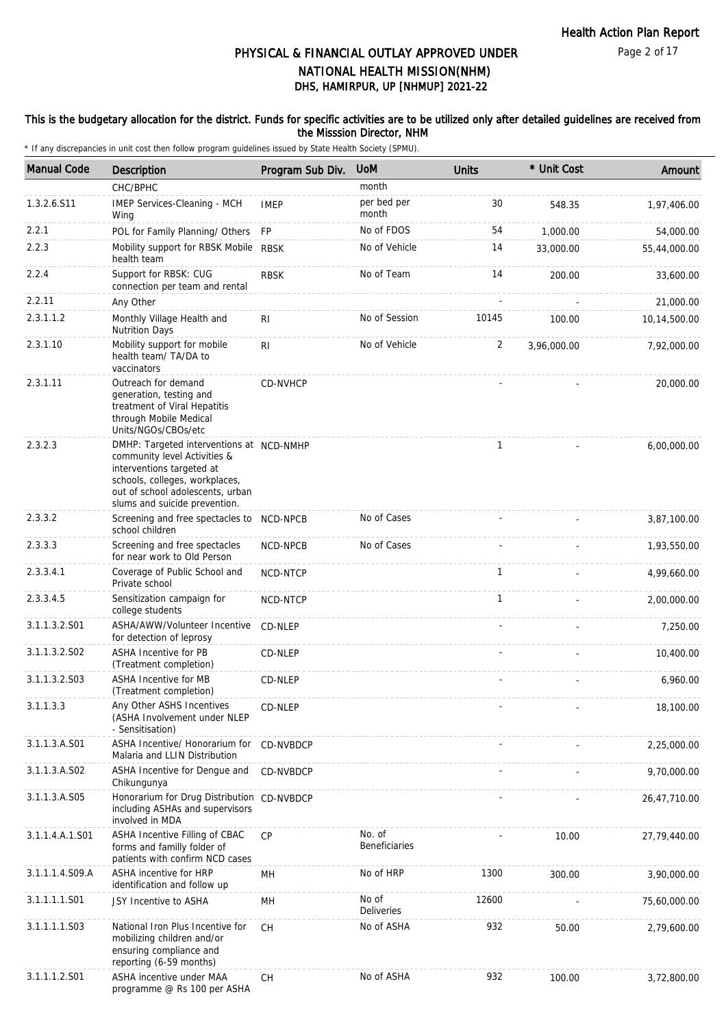#### This is the budgetary allocation for the district. Funds for specific activities are to be utilized only after detailed guidelines are received from the Misssion Director, NHM

| <b>Manual Code</b> | <b>Description</b>                                                                                                                                                                                           | Program Sub Div.                         | <b>UoM</b>                     | <b>Units</b> | * Unit Cost | Amount       |
|--------------------|--------------------------------------------------------------------------------------------------------------------------------------------------------------------------------------------------------------|------------------------------------------|--------------------------------|--------------|-------------|--------------|
|                    | CHC/BPHC                                                                                                                                                                                                     |                                          | month                          |              |             |              |
| 1.3.2.6.S11        | IMEP Services-Cleaning - MCH<br>Wing                                                                                                                                                                         | <b>IMEP</b>                              | per bed per<br>month           | 30           | 548.35      | 1,97,406.00  |
| 2.2.1              | POL for Family Planning/ Others                                                                                                                                                                              | <b>FP</b>                                | No of FDOS                     | 54           | 1,000.00    | 54,000.00    |
| 2.2.3              | Mobility support for RBSK Mobile RBSK<br>health team                                                                                                                                                         |                                          | No of Vehicle                  | 14           | 33,000.00   | 55,44,000.00 |
| 2.2.4              | Support for RBSK: CUG<br>connection per team and rental                                                                                                                                                      | <b>RBSK</b>                              | No of Team                     | 14           | 200.00      | 33,600.00    |
| 2.2.11             | Any Other                                                                                                                                                                                                    |                                          |                                |              |             | 21,000.00    |
| 2.3.1.1.2          | Monthly Village Health and<br><b>Nutrition Days</b>                                                                                                                                                          | R <sub>1</sub>                           | No of Session                  | 10145        | 100.00      | 10,14,500.00 |
| 2.3.1.10           | Mobility support for mobile<br>health team/ TA/DA to<br>vaccinators                                                                                                                                          | R <sub>1</sub>                           | No of Vehicle                  | 2            | 3,96,000.00 | 7,92,000.00  |
| 2.3.1.11           | Outreach for demand<br>generation, testing and<br>treatment of Viral Hepatitis<br>through Mobile Medical<br>Units/NGOs/CBOs/etc                                                                              | CD-NVHCP                                 |                                |              |             | 20,000.00    |
| 2.3.2.3            | DMHP: Targeted interventions at NCD-NMHP<br>community level Activities &<br>interventions targeted at<br>schools, colleges, workplaces,<br>out of school adolescents, urban<br>slums and suicide prevention. |                                          |                                | 1            |             | 6,00,000.00  |
| 2.3.3.2            | Screening and free spectacles to<br>school children                                                                                                                                                          | NCD-NPCB                                 | No of Cases                    |              |             | 3,87,100.00  |
| 2.3.3.3            | Screening and free spectacles<br>for near work to Old Person                                                                                                                                                 | NCD-NPCB                                 | No of Cases                    |              |             | 1,93,550.00  |
| 2.3.3.4.1          | Coverage of Public School and<br>Private school                                                                                                                                                              | NCD-NTCP                                 |                                | $\mathbf{1}$ |             | 4,99,660.00  |
| 2.3.3.4.5          | Sensitization campaign for<br>college students                                                                                                                                                               | NCD-NTCP                                 |                                | $\mathbf{1}$ |             | 2,00,000.00  |
| 3.1.1.3.2.S01      | ASHA/AWW/Volunteer Incentive<br>for detection of leprosy                                                                                                                                                     | CD-NLEP                                  |                                |              |             | 7,250.00     |
| 3.1.1.3.2.S02      | ASHA Incentive for PB<br>(Treatment completion)                                                                                                                                                              | CD-NLEP                                  |                                |              |             | 10,400.00    |
| 3.1.1.3.2.S03      | <b>ASHA Incentive for MB</b><br>(Treatment completion)                                                                                                                                                       | CD-NLEP                                  |                                |              |             | 6,960.00     |
| 3.1.1.3.3          | Any Other ASHS Incentives<br>(ASHA Involvement under NLEP<br>- Sensitisation)                                                                                                                                | CD-NLEP                                  |                                |              |             | 18,100.00    |
| 3.1.1.3.A.S01      | ASHA Incentive/ Honorarium for<br>Malaria and LLIN Distribution                                                                                                                                              | CD-NVBDCP                                |                                |              |             | 2,25,000.00  |
| 3.1.1.3.A.S02      | ASHA Incentive for Dengue and<br>Chikungunya                                                                                                                                                                 | CD-NVBDCP                                |                                |              |             | 9,70,000.00  |
| 3.1.1.3.A.S05      | Honorarium for Drug Distribution CD-NVBDCP<br>including ASHAs and supervisors<br>involved in MDA                                                                                                             |                                          |                                |              |             | 26,47,710.00 |
| 3.1.1.4.A.1.S01    | ASHA Incentive Filling of CBAC<br>forms and familly folder of<br>patients with confirm NCD cases                                                                                                             | <b>CP</b>                                | No. of<br><b>Beneficiaries</b> |              | 10.00       | 27,79,440.00 |
| 3.1.1.1.4.S09.A    | ASHA incentive for HRP<br>identification and follow up                                                                                                                                                       | MН                                       | No of HRP                      | 1300         | 300.00      | 3,90,000.00  |
| 3.1.1.1.1.S01      | JSY Incentive to ASHA                                                                                                                                                                                        | MН                                       | No of<br><b>Deliveries</b>     | 12600        |             | 75,60,000.00 |
| 3.1.1.1.1.S03      | National Iron Plus Incentive for<br>mobilizing children and/or<br>ensuring compliance and<br>reporting (6-59 months)                                                                                         | <b>CH</b>                                | No of ASHA                     | 932          | 50.00       | 2,79,600.00  |
| 3.1.1.1.2.S01      | ASHA incentive under MAA<br>programme @ Rs 100 per ASHA                                                                                                                                                      | $\mathsf{CH}% \left( \mathcal{M}\right)$ | No of ASHA                     | 932          | 100.00      | 3,72,800.00  |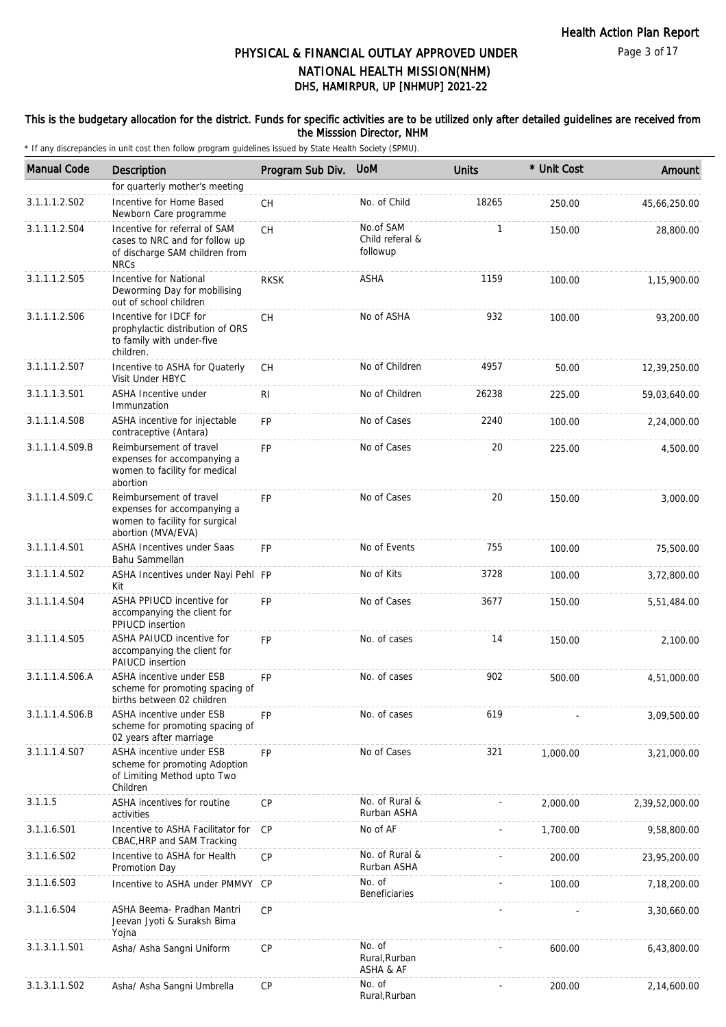#### This is the budgetary allocation for the district. Funds for specific activities are to be utilized only after detailed guidelines are received from the Misssion Director, NHM

| <b>Manual Code</b> | Description                                                                                                      | Program Sub Div. | <b>UoM</b>                               | <b>Units</b> | * Unit Cost | Amount         |
|--------------------|------------------------------------------------------------------------------------------------------------------|------------------|------------------------------------------|--------------|-------------|----------------|
|                    | for quarterly mother's meeting                                                                                   |                  |                                          |              |             |                |
| 3.1.1.1.2.S02      | Incentive for Home Based<br>Newborn Care programme                                                               | CH               | No. of Child                             | 18265        | 250.00      | 45,66,250.00   |
| 3.1.1.1.2.S04      | Incentive for referral of SAM<br>cases to NRC and for follow up<br>of discharge SAM children from<br><b>NRCs</b> | <b>CH</b>        | No.of SAM<br>Child referal &<br>followup | $\mathbf{1}$ | 150.00      | 28,800.00      |
| 3.1.1.1.2.S05      | Incentive for National<br>Deworming Day for mobilising<br>out of school children                                 | <b>RKSK</b>      | ASHA                                     | 1159         | 100.00      | 1,15,900.00    |
| 3.1.1.1.2.S06      | Incentive for IDCF for<br>prophylactic distribution of ORS<br>to family with under-five<br>children.             | <b>CH</b>        | No of ASHA                               | 932          | 100.00      | 93,200.00      |
| 3.1.1.1.2.S07      | Incentive to ASHA for Quaterly<br>Visit Under HBYC                                                               | СH               | No of Children                           | 4957         | 50.00       | 12,39,250.00   |
| 3.1.1.1.3.S01      | ASHA Incentive under<br>Immunzation                                                                              | <b>RI</b>        | No of Children                           | 26238        | 225.00      | 59,03,640.00   |
| 3.1.1.1.4.S08      | ASHA incentive for injectable<br>contraceptive (Antara)                                                          | <b>FP</b>        | No of Cases                              | 2240         | 100.00      | 2,24,000.00    |
| 3.1.1.1.4.S09.B    | Reimbursement of travel<br>expenses for accompanying a<br>women to facility for medical<br>abortion              | <b>FP</b>        | No of Cases                              | 20           | 225.00      | 4,500.00       |
| 3.1.1.1.4.S09.C    | Reimbursement of travel<br>expenses for accompanying a<br>women to facility for surgical<br>abortion (MVA/EVA)   | <b>FP</b>        | No of Cases                              | 20           | 150.00      | 3,000.00       |
| 3.1.1.1.4.S01      | <b>ASHA Incentives under Saas</b><br>Bahu Sammellan                                                              | <b>FP</b>        | No of Events                             | 755          | 100.00      | 75,500.00      |
| 3.1.1.1.4.S02      | ASHA Incentives under Nayi Pehl FP<br>Kit                                                                        |                  | No of Kits                               | 3728         | 100.00      | 3,72,800.00    |
| 3.1.1.1.4.S04      | ASHA PPIUCD incentive for<br>accompanying the client for<br>PPIUCD insertion                                     | <b>FP</b>        | No of Cases                              | 3677         | 150.00      | 5,51,484.00    |
| 3.1.1.1.4.S05      | ASHA PAIUCD incentive for<br>accompanying the client for<br><b>PAIUCD</b> insertion                              | <b>FP</b>        | No. of cases                             | 14           | 150.00      | 2,100.00       |
| 3.1.1.1.4.S06.A    | ASHA incentive under ESB<br>scheme for promoting spacing of<br>births between 02 children                        | <b>FP</b>        | No. of cases                             | 902          | 500.00      | 4,51,000.00    |
| 3.1.1.1.4.S06.B    | ASHA incentive under ESB<br>scheme for promoting spacing of<br>02 years after marriage                           | <b>FP</b>        | No. of cases                             | 619          |             | 3,09,500.00    |
| 3.1.1.1.4.S07      | <b>ASHA incentive under ESB</b><br>scheme for promoting Adoption<br>of Limiting Method upto Two<br>Children      | <b>FP</b>        | No of Cases                              | 321          | 1,000.00    | 3,21,000.00    |
| 3.1.1.5            | ASHA incentives for routine<br>activities                                                                        | <b>CP</b>        | No. of Rural &<br>Rurban ASHA            |              | 2,000.00    | 2,39,52,000.00 |
| 3.1.1.6.S01        | Incentive to ASHA Facilitator for<br>CBAC, HRP and SAM Tracking                                                  | <b>CP</b>        | No of AF                                 |              | 1,700.00    | 9,58,800.00    |
| 3.1.1.6.S02        | Incentive to ASHA for Health<br>Promotion Day                                                                    | СP               | No. of Rural &<br>Rurban ASHA            |              | 200.00      | 23,95,200.00   |
| 3.1.1.6.S03        | Incentive to ASHA under PMMVY                                                                                    | СP               | No. of<br><b>Beneficiaries</b>           |              | 100.00      | 7,18,200.00    |
| 3.1.1.6.S04        | ASHA Beema- Pradhan Mantri<br>Jeevan Jyoti & Suraksh Bima<br>Yojna                                               | CP               |                                          |              |             | 3,30,660.00    |
| 3.1.3.1.1.S01      | Asha/ Asha Sangni Uniform                                                                                        | СP               | No. of<br>Rural, Rurban<br>ASHA & AF     |              | 600.00      | 6,43,800.00    |
| 3.1.3.1.1.S02      | Asha/ Asha Sangni Umbrella                                                                                       | CP               | No. of<br>Rural, Rurban                  |              | 200.00      | 2,14,600.00    |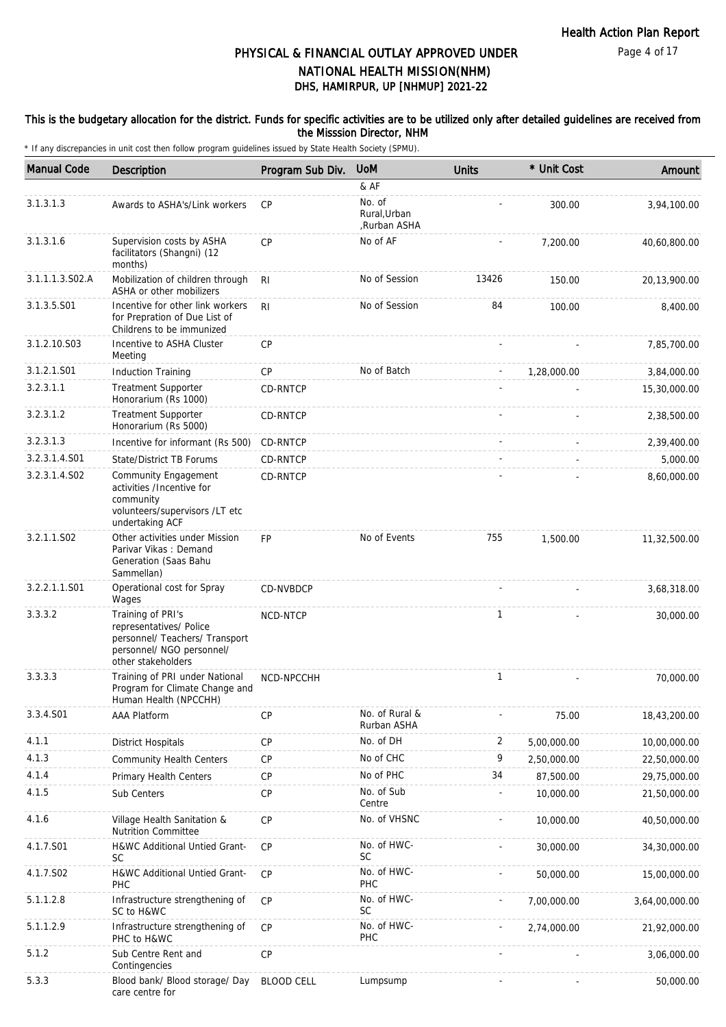#### This is the budgetary allocation for the district. Funds for specific activities are to be utilized only after detailed guidelines are received from the Misssion Director, NHM

| <b>Manual Code</b> | <b>Description</b>                                                                                                                | Program Sub Div.  | <b>UoM</b>                             | <b>Units</b> | * Unit Cost | Amount         |
|--------------------|-----------------------------------------------------------------------------------------------------------------------------------|-------------------|----------------------------------------|--------------|-------------|----------------|
|                    |                                                                                                                                   |                   | & AF                                   |              |             |                |
| 3.1.3.1.3          | Awards to ASHA's/Link workers                                                                                                     | <b>CP</b>         | No. of<br>Rural, Urban<br>,Rurban ASHA |              | 300.00      | 3,94,100.00    |
| 3.1.3.1.6          | Supervision costs by ASHA<br>facilitators (Shangni) (12<br>months)                                                                | <b>CP</b>         | No of AF                               |              | 7,200.00    | 40,60,800.00   |
| 3.1.1.1.3.S02.A    | Mobilization of children through<br>ASHA or other mobilizers                                                                      | RI                | No of Session                          | 13426        | 150.00      | 20,13,900.00   |
| 3.1.3.5.S01        | Incentive for other link workers<br>for Prepration of Due List of<br>Childrens to be immunized                                    | R <sub>l</sub>    | No of Session                          | 84           | 100.00      | 8,400.00       |
| 3.1.2.10.S03       | Incentive to ASHA Cluster<br>Meeting                                                                                              | <b>CP</b>         |                                        |              |             | 7,85,700.00    |
| 3.1.2.1.S01        | <b>Induction Training</b>                                                                                                         | <b>CP</b>         | No of Batch                            |              | 1,28,000.00 | 3,84,000.00    |
| 3.2.3.1.1          | <b>Treatment Supporter</b><br>Honorarium (Rs 1000)                                                                                | CD-RNTCP          |                                        |              |             | 15,30,000.00   |
| 3.2.3.1.2          | <b>Treatment Supporter</b><br>Honorarium (Rs 5000)                                                                                | CD-RNTCP          |                                        |              |             | 2,38,500.00    |
| 3.2.3.1.3          | Incentive for informant (Rs 500)                                                                                                  | CD-RNTCP          |                                        |              |             | 2,39,400.00    |
| 3.2.3.1.4.S01      | State/District TB Forums                                                                                                          | CD-RNTCP          |                                        |              |             | 5,000.00       |
| 3.2.3.1.4.S02      | Community Engagement<br>activities /Incentive for<br>community<br>volunteers/supervisors /LT etc<br>undertaking ACF               | CD-RNTCP          |                                        |              |             | 8,60,000.00    |
| 3.2.1.1.S02        | Other activities under Mission<br>Parivar Vikas: Demand<br>Generation (Saas Bahu<br>Sammellan)                                    | <b>FP</b>         | No of Events                           | 755          | 1,500.00    | 11,32,500.00   |
| 3.2.2.1.1.S01      | Operational cost for Spray<br>Wages                                                                                               | <b>CD-NVBDCP</b>  |                                        |              |             | 3,68,318.00    |
| 3.3.3.2            | Training of PRI's<br>representatives/ Police<br>personnel/ Teachers/ Transport<br>personnel/ NGO personnel/<br>other stakeholders | NCD-NTCP          |                                        | $\mathbf{1}$ |             | 30,000.00      |
| 3.3.3.3            | Training of PRI under National<br>Program for Climate Change and<br>Human Health (NPCCHH)                                         | NCD-NPCCHH        |                                        | 1            |             | 70,000.00      |
| 3.3.4.S01          | AAA Platform                                                                                                                      | CP                | No. of Rural &<br>Rurban ASHA          |              | 75.00       | 18,43,200.00   |
| 4.1.1              | <b>District Hospitals</b>                                                                                                         | <b>CP</b>         | No. of DH                              | 2            | 5,00,000.00 | 10,00,000.00   |
| 4.1.3              | <b>Community Health Centers</b>                                                                                                   | CP                | No of CHC                              | 9            | 2,50,000.00 | 22,50,000.00   |
| 4.1.4              | Primary Health Centers                                                                                                            | <b>CP</b>         | No of PHC                              | 34           | 87,500.00   | 29,75,000.00   |
| 4.1.5              | Sub Centers                                                                                                                       | CP                | No. of Sub<br>Centre                   |              | 10,000.00   | 21,50,000.00   |
| 4.1.6              | Village Health Sanitation &<br><b>Nutrition Committee</b>                                                                         | <b>CP</b>         | No. of VHSNC                           |              | 10,000.00   | 40,50,000.00   |
| 4.1.7.S01          | H&WC Additional Untied Grant-<br><b>SC</b>                                                                                        | CP                | No. of HWC-<br><b>SC</b>               |              | 30,000.00   | 34,30,000.00   |
| 4.1.7.S02          | H&WC Additional Untied Grant-<br>PHC                                                                                              | CP                | No. of HWC-<br><b>PHC</b>              |              | 50,000.00   | 15,00,000.00   |
| 5.1.1.2.8          | Infrastructure strengthening of<br>SC to H&WC                                                                                     | CP                | No. of HWC-<br><b>SC</b>               |              | 7,00,000.00 | 3,64,00,000.00 |
| 5.1.1.2.9          | Infrastructure strengthening of<br>PHC to H&WC                                                                                    | CP                | No. of HWC-<br><b>PHC</b>              |              | 2,74,000.00 | 21,92,000.00   |
| 5.1.2              | Sub Centre Rent and<br>Contingencies                                                                                              | CP                |                                        |              |             | 3,06,000.00    |
| 5.3.3              | Blood bank/ Blood storage/ Day<br>care centre for                                                                                 | <b>BLOOD CELL</b> | Lumpsump                               |              |             | 50,000.00      |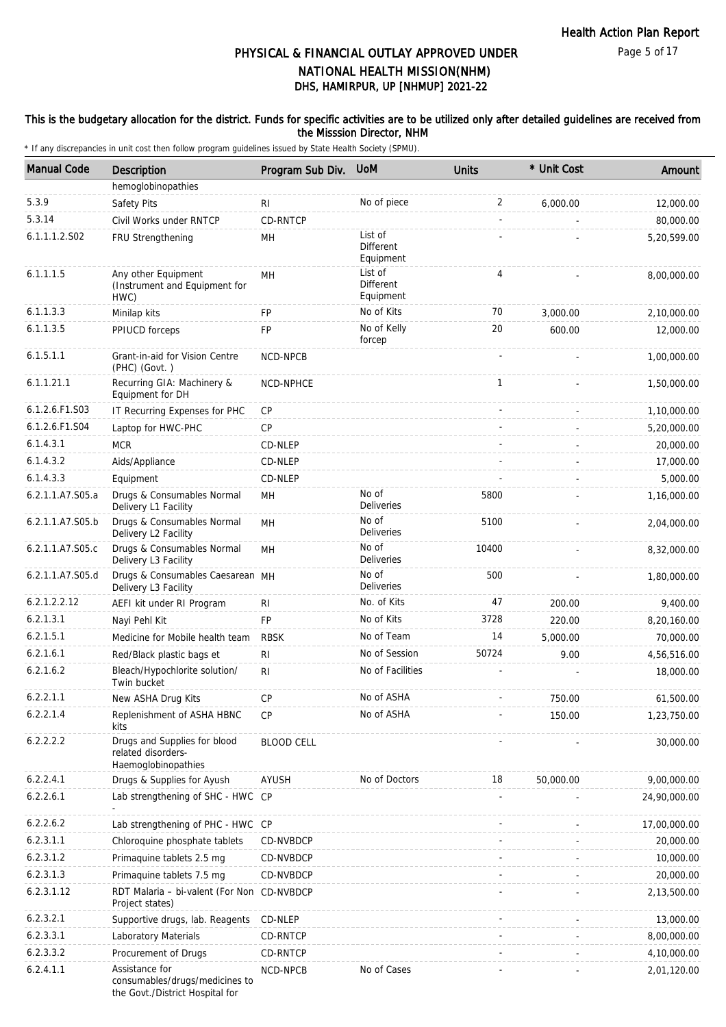#### This is the budgetary allocation for the district. Funds for specific activities are to be utilized only after detailed guidelines are received from the Misssion Director, NHM

| <b>Manual Code</b> | Description                                                                         | Program Sub Div.  | <b>UoM</b>                               | <b>Units</b> | * Unit Cost | Amount       |
|--------------------|-------------------------------------------------------------------------------------|-------------------|------------------------------------------|--------------|-------------|--------------|
|                    | hemoglobinopathies                                                                  |                   |                                          |              |             |              |
| 5.3.9              | Safety Pits                                                                         | RI                | No of piece                              | 2            | 6,000.00    | 12,000.00    |
| 5.3.14             | Civil Works under RNTCP                                                             | CD-RNTCP          |                                          |              |             | 80,000.00    |
| 6.1.1.1.2.S02      | FRU Strengthening                                                                   | MH                | List of<br><b>Different</b><br>Equipment |              |             | 5,20,599.00  |
| 6.1.1.1.5          | Any other Equipment<br>(Instrument and Equipment for<br>HWC)                        | MH                | List of<br><b>Different</b><br>Equipment | 4            |             | 8,00,000.00  |
| 6.1.1.3.3          | Minilap kits                                                                        | <b>FP</b>         | No of Kits                               | 70           | 3,000.00    | 2,10,000.00  |
| 6.1.1.3.5          | PPIUCD forceps                                                                      | FP                | No of Kelly<br>forcep                    | 20           | 600.00      | 12,000.00    |
| 6.1.5.1.1          | Grant-in-aid for Vision Centre<br>(PHC) (Govt.)                                     | NCD-NPCB          |                                          |              |             | 1,00,000.00  |
| 6.1.1.21.1         | Recurring GIA: Machinery &<br>Equipment for DH                                      | NCD-NPHCE         |                                          | $\mathbf{1}$ |             | 1,50,000.00  |
| 6.1.2.6.F1.S03     | IT Recurring Expenses for PHC                                                       | CP                |                                          |              |             | 1,10,000.00  |
| 6.1.2.6.F1.S04     | Laptop for HWC-PHC                                                                  | <b>CP</b>         |                                          |              |             | 5,20,000.00  |
| 6.1.4.3.1          | <b>MCR</b>                                                                          | CD-NLEP           |                                          |              |             | 20,000.00    |
| 6.1.4.3.2          | Aids/Appliance                                                                      | CD-NLEP           |                                          |              |             | 17,000.00    |
| 6.1.4.3.3          | Equipment                                                                           | CD-NLEP           |                                          |              |             | 5,000.00     |
| 6.2.1.1.A7.S05.a   | Drugs & Consumables Normal<br>Delivery L1 Facility                                  | MH                | No of<br>Deliveries                      | 5800         |             | 1,16,000.00  |
| 6.2.1.1.A7.S05.b   | Drugs & Consumables Normal<br>Delivery L2 Facility                                  | MH                | No of<br><b>Deliveries</b>               | 5100         |             | 2,04,000.00  |
| 6.2.1.1.A7.S05.c   | Drugs & Consumables Normal<br>Delivery L3 Facility                                  | MH                | No of<br><b>Deliveries</b>               | 10400        |             | 8,32,000.00  |
| 6.2.1.1.A7.S05.d   | Drugs & Consumables Caesarean MH<br>Delivery L3 Facility                            |                   | No of<br><b>Deliveries</b>               | 500          |             | 1,80,000.00  |
| 6.2.1.2.2.12       | AEFI kit under RI Program                                                           | R <sub>l</sub>    | No. of Kits                              | 47           | 200.00      | 9,400.00     |
| 6.2.1.3.1          | Nayi Pehl Kit                                                                       | <b>FP</b>         | No of Kits                               | 3728         | 220.00      | 8,20,160.00  |
| 6.2.1.5.1          | Medicine for Mobile health team                                                     | <b>RBSK</b>       | No of Team                               | 14           | 5,000.00    | 70,000.00    |
| 6.2.1.6.1          | Red/Black plastic bags et                                                           | R <sub>l</sub>    | No of Session                            | 50724        | 9.00        | 4,56,516.00  |
| 6.2.1.6.2          | Bleach/Hypochlorite solution/<br>Twin bucket                                        | RI                | No of Facilities                         |              |             | 18,000.00    |
| 6.2.2.1.1          | New ASHA Drug Kits                                                                  | CP                | No of ASHA                               |              | 750.00      | 61,500.00    |
| 6.2.2.1.4          | Replenishment of ASHA HBNC<br>kits                                                  | <b>CP</b>         | No of ASHA                               |              | 150.00      | 1,23,750.00  |
| 6.2.2.2.2          | Drugs and Supplies for blood<br>related disorders-<br>Haemoglobinopathies           | <b>BLOOD CELL</b> |                                          |              |             | 30,000.00    |
| 6.2.2.4.1          | Drugs & Supplies for Ayush                                                          | <b>AYUSH</b>      | No of Doctors                            | 18           | 50,000.00   | 9,00,000.00  |
| 6.2.2.6.1          | Lab strengthening of SHC - HWC CP                                                   |                   |                                          |              |             | 24,90,000.00 |
| 6.2.2.6.2          | Lab strengthening of PHC - HWC CP                                                   |                   |                                          |              |             | 17,00,000.00 |
| 6.2.3.1.1          | Chloroquine phosphate tablets                                                       | CD-NVBDCP         |                                          |              |             | 20,000.00    |
| 6.2.3.1.2          | Primaquine tablets 2.5 mg                                                           | CD-NVBDCP         |                                          |              |             | 10,000.00    |
| 6.2.3.1.3          | Primaquine tablets 7.5 mg                                                           | CD-NVBDCP         |                                          |              |             | 20,000.00    |
| 6.2.3.1.12         | RDT Malaria - bi-valent (For Non CD-NVBDCP<br>Project states)                       |                   |                                          |              |             | 2,13,500.00  |
| 6.2.3.2.1          | Supportive drugs, lab. Reagents                                                     | CD-NLEP           |                                          |              |             | 13,000.00    |
| 6.2.3.3.1          | Laboratory Materials                                                                | CD-RNTCP          |                                          |              |             | 8,00,000.00  |
| 6.2.3.3.2          | Procurement of Drugs                                                                | CD-RNTCP          |                                          |              |             | 4,10,000.00  |
| 6.2.4.1.1          | Assistance for<br>consumables/drugs/medicines to<br>the Govt./District Hospital for | NCD-NPCB          | No of Cases                              |              |             | 2,01,120.00  |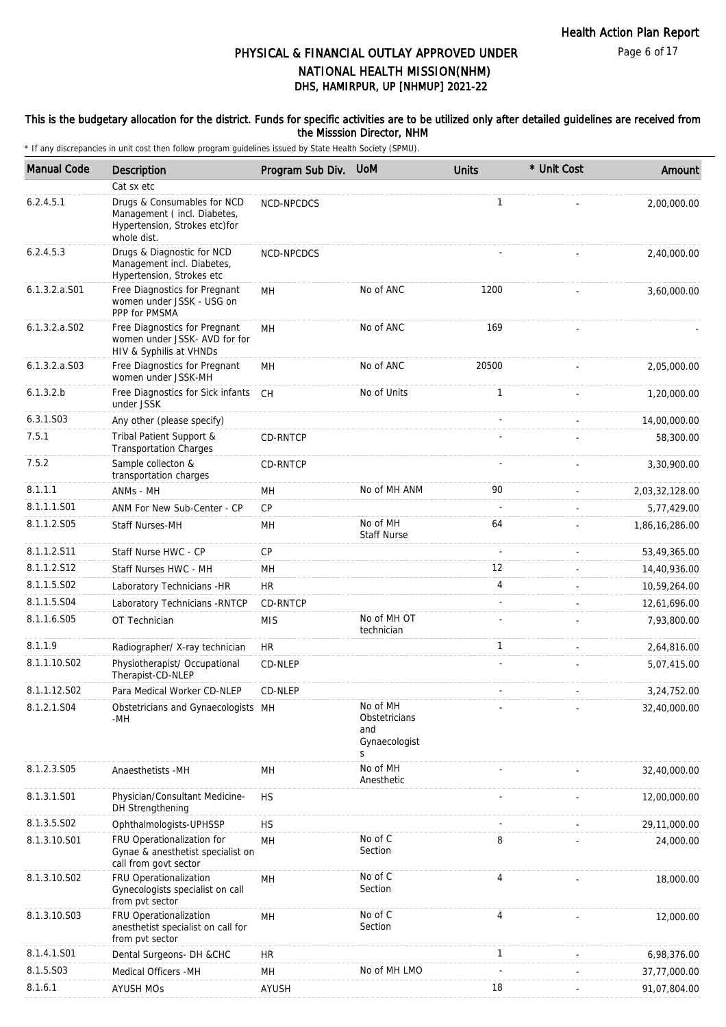Page 6 of 17

# DHS, HAMIRPUR, UP [NHMUP] 2021-22 PHYSICAL & FINANCIAL OUTLAY APPROVED UNDER NATIONAL HEALTH MISSION(NHM)

#### This is the budgetary allocation for the district. Funds for specific activities are to be utilized only after detailed guidelines are received from the Misssion Director, NHM

| <b>Manual Code</b> | <b>Description</b>                                                                                         | Program Sub Div. UoM |                                                        | <b>Units</b> | * Unit Cost | Amount         |
|--------------------|------------------------------------------------------------------------------------------------------------|----------------------|--------------------------------------------------------|--------------|-------------|----------------|
|                    | Cat sx etc                                                                                                 |                      |                                                        |              |             |                |
| 6.2.4.5.1          | Drugs & Consumables for NCD<br>Management (incl. Diabetes,<br>Hypertension, Strokes etc)for<br>whole dist. | NCD-NPCDCS           |                                                        | $\mathbf{1}$ |             | 2,00,000.00    |
| 6.2.4.5.3          | Drugs & Diagnostic for NCD<br>Management incl. Diabetes,<br>Hypertension, Strokes etc                      | NCD-NPCDCS           |                                                        |              |             | 2,40,000.00    |
| $6.1.3.2.a.$ S01   | Free Diagnostics for Pregnant<br>women under JSSK - USG on<br>PPP for PMSMA                                | MH                   | No of ANC                                              | 1200         |             | 3,60,000.00    |
| $6.1.3.2.a.$ SO2   | Free Diagnostics for Pregnant<br>women under JSSK- AVD for for<br>HIV & Syphilis at VHNDs                  | MН                   | No of ANC                                              | 169          |             |                |
| $6.1.3.2.a.$ SO3   | Free Diagnostics for Pregnant<br>women under JSSK-MH                                                       | MН                   | No of ANC                                              | 20500        |             | 2,05,000.00    |
| 6.1.3.2.b          | Free Diagnostics for Sick infants<br>under JSSK                                                            | CH                   | No of Units                                            | $\mathbf{1}$ |             | 1,20,000.00    |
| 6.3.1.S03          | Any other (please specify)                                                                                 |                      |                                                        |              |             | 14,00,000.00   |
| 7.5.1              | Tribal Patient Support &<br><b>Transportation Charges</b>                                                  | CD-RNTCP             |                                                        |              |             | 58,300.00      |
| 7.5.2              | Sample collecton &<br>transportation charges                                                               | CD-RNTCP             |                                                        |              |             | 3,30,900.00    |
| 8.1.1.1            | ANMs - MH                                                                                                  | MН                   | No of MH ANM                                           | 90           |             | 2,03,32,128.00 |
| 8.1.1.1.S01        | ANM For New Sub-Center - CP                                                                                | CP                   |                                                        |              |             | 5,77,429.00    |
| 8.1.1.2.S05        | Staff Nurses-MH                                                                                            | MH                   | No of MH<br><b>Staff Nurse</b>                         | 64           |             | 1,86,16,286.00 |
| 8.1.1.2.S11        | Staff Nurse HWC - CP                                                                                       | <b>CP</b>            |                                                        |              |             | 53,49,365.00   |
| 8.1.1.2.S12        | Staff Nurses HWC - MH                                                                                      | MH                   |                                                        | 12           |             | 14,40,936.00   |
| 8.1.1.5.S02        | Laboratory Technicians -HR                                                                                 | <b>HR</b>            |                                                        | 4            |             | 10,59,264.00   |
| 8.1.1.5.S04        | Laboratory Technicians - RNTCP                                                                             | CD-RNTCP             |                                                        |              |             | 12,61,696.00   |
| 8.1.1.6.S05        | OT Technician                                                                                              | <b>MIS</b>           | No of MH OT<br>technician                              |              |             | 7,93,800.00    |
| 8.1.1.9            | Radiographer/ X-ray technician                                                                             | <b>HR</b>            |                                                        | $\mathbf{1}$ |             | 2,64,816.00    |
| 8.1.1.10.S02       | Physiotherapist/ Occupational<br>Therapist-CD-NLEP                                                         | CD-NLEP              |                                                        |              |             | 5,07,415.00    |
| 8.1.1.12.S02       | Para Medical Worker CD-NLEP                                                                                | CD-NLEP              |                                                        |              |             | 3,24,752.00    |
| 8.1.2.1.S04        | Obstetricians and Gynaecologists MH<br>-MH                                                                 |                      | No of MH<br>Obstetricians<br>and<br>Gynaecologist<br>S |              |             | 32,40,000.00   |
| 8.1.2.3.S05        | Anaesthetists -MH                                                                                          | MН                   | No of MH<br>Anesthetic                                 |              |             | 32,40,000.00   |
| 8.1.3.1.S01        | Physician/Consultant Medicine-<br>DH Strengthening                                                         | <b>HS</b>            |                                                        |              |             | 12,00,000.00   |
| 8.1.3.5.SO2        | Ophthalmologists-UPHSSP                                                                                    | <b>HS</b>            |                                                        |              |             | 29,11,000.00   |
| 8.1.3.10.S01       | FRU Operationalization for<br>Gynae & anesthetist specialist on<br>call from govt sector                   | MН                   | No of C<br>Section                                     | 8            |             | 24,000.00      |
| 8.1.3.10.S02       | FRU Operationalization<br>Gynecologists specialist on call<br>from pvt sector                              | MH                   | No of C<br>Section                                     | 4            |             | 18,000.00      |
| 8.1.3.10.S03       | FRU Operationalization<br>anesthetist specialist on call for<br>from pvt sector                            | MН                   | No of C<br>Section                                     | 4            |             | 12,000.00      |
| 8.1.4.1.S01        | Dental Surgeons- DH &CHC                                                                                   | <b>HR</b>            |                                                        | $\mathbf{1}$ |             | 6,98,376.00    |
| 8.1.5.S03          | Medical Officers - MH                                                                                      | MH                   | No of MH LMO                                           |              |             | 37,77,000.00   |
| 8.1.6.1            | <b>AYUSH MOs</b>                                                                                           | AYUSH                |                                                        | 18           |             | 91,07,804.00   |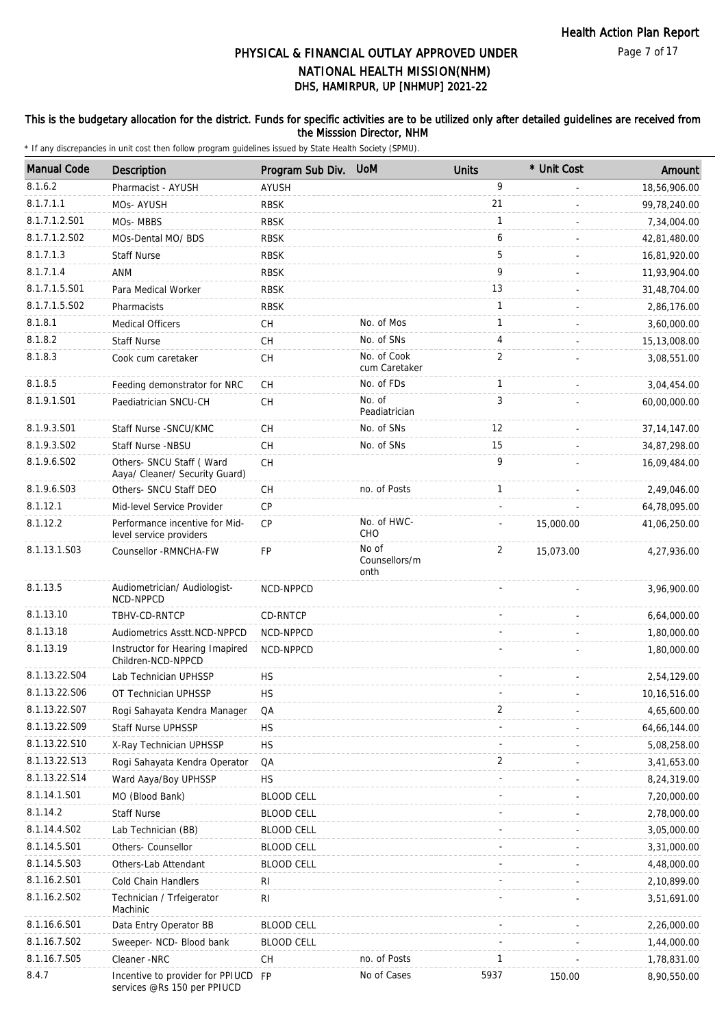Page 7 of 17

# DHS, HAMIRPUR, UP [NHMUP] 2021-22 PHYSICAL & FINANCIAL OUTLAY APPROVED UNDER NATIONAL HEALTH MISSION(NHM)

#### This is the budgetary allocation for the district. Funds for specific activities are to be utilized only after detailed guidelines are received from the Misssion Director, NHM

| <b>Manual Code</b> | Description                                                     | Program Sub Div.  | <b>UoM</b>                     | <b>Units</b>   | * Unit Cost | Amount         |
|--------------------|-----------------------------------------------------------------|-------------------|--------------------------------|----------------|-------------|----------------|
| 8.1.6.2            | Pharmacist - AYUSH                                              | AYUSH             |                                | 9              |             | 18,56,906.00   |
| 8.1.7.1.1          | MOs-AYUSH                                                       | <b>RBSK</b>       |                                | 21             |             | 99,78,240.00   |
| 8.1.7.1.2.S01      | MOs-MBBS                                                        | <b>RBSK</b>       |                                | $\mathbf{1}$   |             | 7,34,004.00    |
| 8.1.7.1.2.S02      | MOs-Dental MO/ BDS                                              | <b>RBSK</b>       |                                | 6              |             | 42,81,480.00   |
| 8.1.7.1.3          | <b>Staff Nurse</b>                                              | <b>RBSK</b>       |                                | 5              |             | 16,81,920.00   |
| 8.1.7.1.4          | <b>ANM</b>                                                      | <b>RBSK</b>       |                                | 9              |             | 11,93,904.00   |
| 8.1.7.1.5.S01      | Para Medical Worker                                             | <b>RBSK</b>       |                                | 13             |             | 31,48,704.00   |
| 8.1.7.1.5.S02      | Pharmacists                                                     | <b>RBSK</b>       |                                | 1              |             | 2,86,176.00    |
| 8.1.8.1            | <b>Medical Officers</b>                                         | <b>CH</b>         | No. of Mos                     | $\mathbf{1}$   |             | 3,60,000.00    |
| 8.1.8.2            | <b>Staff Nurse</b>                                              | CH                | No. of SNs                     | 4              |             | 15,13,008.00   |
| 8.1.8.3            | Cook cum caretaker                                              | СH                | No. of Cook                    | $\overline{2}$ |             | 3,08,551.00    |
|                    |                                                                 |                   | cum Caretaker                  |                |             |                |
| 8.1.8.5            | Feeding demonstrator for NRC                                    | CH                | No. of FDs                     | $\mathbf{1}$   |             | 3,04,454.00    |
| 8.1.9.1.S01        | Paediatrician SNCU-CH                                           | СH                | No. of<br>Peadiatrician        | 3              |             | 60,00,000.00   |
| 8.1.9.3.S01        | Staff Nurse - SNCU/KMC                                          | CH                | No. of SNs                     | 12             |             | 37, 14, 147.00 |
| 8.1.9.3.S02        | Staff Nurse -NBSU                                               | СH                | No. of SNs                     | 15             |             | 34,87,298.00   |
| 8.1.9.6.SO2        | Others- SNCU Staff (Ward<br>Aaya/ Cleaner/ Security Guard)      | <b>CH</b>         |                                | 9              |             | 16,09,484.00   |
| 8.1.9.6.S03        | Others- SNCU Staff DEO                                          | СH                | no. of Posts                   | $\mathbf{1}$   |             | 2,49,046.00    |
| 8.1.12.1           | Mid-level Service Provider                                      | <b>CP</b>         |                                |                |             | 64,78,095.00   |
| 8.1.12.2           | Performance incentive for Mid-<br>level service providers       | CP                | No. of HWC-<br>CHO             |                | 15,000.00   | 41,06,250.00   |
| 8.1.13.1.S03       | Counsellor - RMNCHA-FW                                          | FP                | No of<br>Counsellors/m<br>onth | $\overline{2}$ | 15,073.00   | 4,27,936.00    |
| 8.1.13.5           | Audiometrician/ Audiologist-<br>NCD-NPPCD                       | NCD-NPPCD         |                                |                |             | 3,96,900.00    |
| 8.1.13.10          | TBHV-CD-RNTCP                                                   | CD-RNTCP          |                                |                |             | 6,64,000.00    |
| 8.1.13.18          | Audiometrics Asstt.NCD-NPPCD                                    | NCD-NPPCD         |                                |                |             | 1,80,000.00    |
| 8.1.13.19          | Instructor for Hearing Imapired<br>Children-NCD-NPPCD           | NCD-NPPCD         |                                |                |             | 1,80,000.00    |
| 8.1.13.22.S04      | Lab Technician UPHSSP                                           | <b>HS</b>         |                                |                |             | 2,54,129.00    |
| 8.1.13.22.S06      | OT Technician UPHSSP                                            | <b>HS</b>         |                                |                |             | 10,16,516.00   |
| 8.1.13.22.S07      | Rogi Sahayata Kendra Manager                                    | QA                |                                | 2              |             | 4,65,600.00    |
| 8.1.13.22.S09      | Staff Nurse UPHSSP                                              | <b>HS</b>         |                                |                |             | 64,66,144.00   |
| 8.1.13.22.S10      | X-Ray Technician UPHSSP                                         | <b>HS</b>         |                                |                |             | 5,08,258.00    |
| 8.1.13.22.S13      | Rogi Sahayata Kendra Operator                                   | QA                |                                | 2              |             | 3,41,653.00    |
| 8.1.13.22.S14      | Ward Aaya/Boy UPHSSP                                            | <b>HS</b>         |                                |                |             | 8,24,319.00    |
| 8.1.14.1.S01       | MO (Blood Bank)                                                 | <b>BLOOD CELL</b> |                                |                |             | 7,20,000.00    |
| 8.1.14.2           | <b>Staff Nurse</b>                                              | <b>BLOOD CELL</b> |                                |                |             | 2,78,000.00    |
| 8.1.14.4.S02       | Lab Technician (BB)                                             | <b>BLOOD CELL</b> |                                |                |             | 3,05,000.00    |
| 8.1.14.5.S01       | Others- Counsellor                                              | <b>BLOOD CELL</b> |                                |                |             | 3,31,000.00    |
| 8.1.14.5.S03       | Others-Lab Attendant                                            | <b>BLOOD CELL</b> |                                |                |             | 4,48,000.00    |
| 8.1.16.2.S01       | Cold Chain Handlers                                             | RI                |                                |                |             | 2,10,899.00    |
| 8.1.16.2.S02       | Technician / Trfeigerator<br>Machinic                           | RI                |                                |                |             | 3,51,691.00    |
| 8.1.16.6.S01       | Data Entry Operator BB                                          | <b>BLOOD CELL</b> |                                |                |             | 2,26,000.00    |
| 8.1.16.7.S02       | Sweeper- NCD- Blood bank                                        | <b>BLOOD CELL</b> |                                |                |             | 1,44,000.00    |
| 8.1.16.7.S05       | Cleaner -NRC                                                    | СH                | no. of Posts                   | 1              |             | 1,78,831.00    |
| 8.4.7              | Incentive to provider for PPIUCD<br>services @Rs 150 per PPIUCD | <b>FP</b>         | No of Cases                    | 5937           | 150.00      | 8,90,550.00    |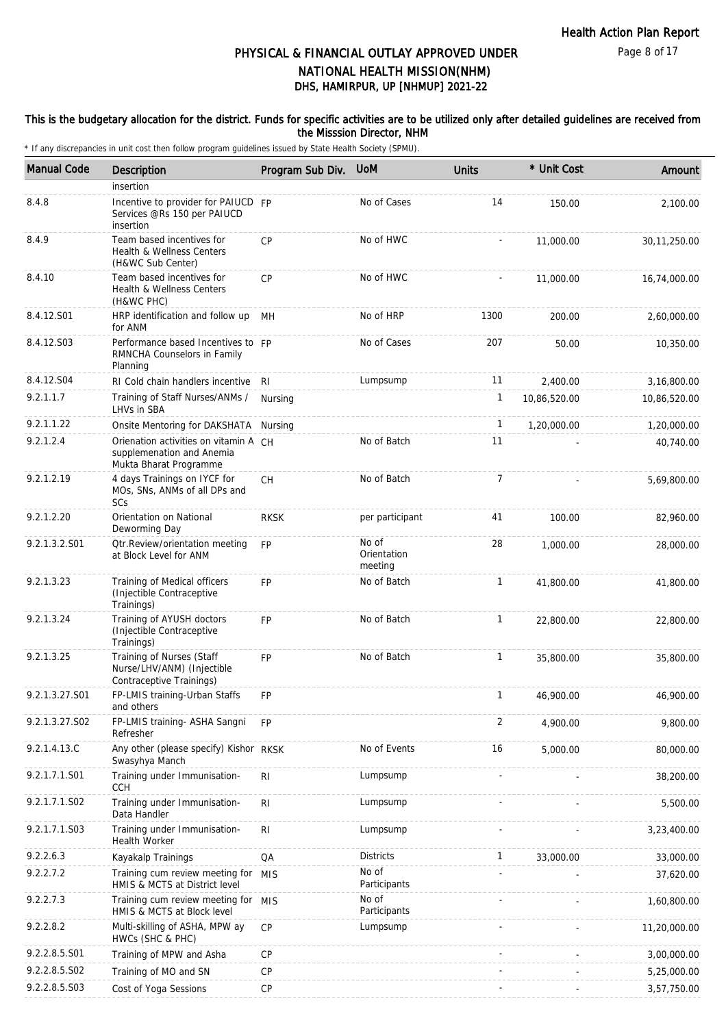#### This is the budgetary allocation for the district. Funds for specific activities are to be utilized only after detailed guidelines are received from the Misssion Director, NHM

| <b>Manual Code</b> | Description                                                                                  | Program Sub Div. | <b>UOM</b>                      | <b>Units</b>   | * Unit Cost  | Amount         |
|--------------------|----------------------------------------------------------------------------------------------|------------------|---------------------------------|----------------|--------------|----------------|
|                    | insertion                                                                                    |                  |                                 |                |              |                |
| 8.4.8              | Incentive to provider for PAIUCD FP<br>Services @Rs 150 per PAIUCD<br>insertion              |                  | No of Cases                     | 14             | 150.00       | 2,100.00       |
| 8.4.9              | Team based incentives for<br>Health & Wellness Centers<br>(H&WC Sub Center)                  | <b>CP</b>        | No of HWC                       |                | 11,000.00    | 30, 11, 250.00 |
| 8.4.10             | Team based incentives for<br>Health & Wellness Centers<br>(H&WC PHC)                         | CP               | No of HWC                       |                | 11,000.00    | 16,74,000.00   |
| 8.4.12.S01         | HRP identification and follow up<br>for ANM                                                  | MН               | No of HRP                       | 1300           | 200.00       | 2,60,000.00    |
| 8.4.12.S03         | Performance based Incentives to FP<br>RMNCHA Counselors in Family<br>Planning                |                  | No of Cases                     | 207            | 50.00        | 10,350.00      |
| 8.4.12.S04         | RI Cold chain handlers incentive                                                             | RI               | Lumpsump                        | 11             | 2,400.00     | 3,16,800.00    |
| 9.2.1.1.7          | Training of Staff Nurses/ANMs /<br>LHVs in SBA                                               | Nursing          |                                 | 1              | 10,86,520.00 | 10,86,520.00   |
| 9.2.1.1.22         | Onsite Mentoring for DAKSHATA                                                                | Nursing          |                                 | 1              | 1,20,000.00  | 1,20,000.00    |
| 9.2.1.2.4          | Orienation activities on vitamin A CH<br>supplemenation and Anemia<br>Mukta Bharat Programme |                  | No of Batch                     | 11             |              | 40,740.00      |
| 9.2.1.2.19         | 4 days Trainings on IYCF for<br>MOs, SNs, ANMs of all DPs and<br>SCs                         | <b>CH</b>        | No of Batch                     | $\overline{7}$ |              | 5,69,800.00    |
| 9.2.1.2.20         | Orientation on National<br>Deworming Day                                                     | <b>RKSK</b>      | per participant                 | 41             | 100.00       | 82,960.00      |
| 9.2.1.3.2.S01      | <b>Qtr.Review/orientation meeting</b><br>at Block Level for ANM                              | <b>FP</b>        | No of<br>Orientation<br>meeting | 28             | 1,000.00     | 28,000.00      |
| 9.2.1.3.23         | Training of Medical officers<br>(Injectible Contraceptive<br>Trainings)                      | <b>FP</b>        | No of Batch                     | $\mathbf{1}$   | 41,800.00    | 41,800.00      |
| 9.2.1.3.24         | Training of AYUSH doctors<br>(Injectible Contraceptive<br>Trainings)                         | <b>FP</b>        | No of Batch                     | $\mathbf{1}$   | 22,800.00    | 22,800.00      |
| 9.2.1.3.25         | Training of Nurses (Staff<br>Nurse/LHV/ANM) (Injectible<br>Contraceptive Trainings)          | FP               | No of Batch                     | 1              | 35,800.00    | 35,800.00      |
| 9.2.1.3.27.S01     | FP-LMIS training-Urban Staffs<br>and others                                                  | FP               |                                 | 1              | 46,900.00    | 46,900.00      |
| 9.2.1.3.27.S02     | FP-LMIS training- ASHA Sangni<br>Refresher                                                   | <b>FP</b>        |                                 | 2              | 4,900.00     | 9,800.00       |
| 9.2.1.4.13.C       | Any other (please specify) Kishor RKSK<br>Swasyhya Manch                                     |                  | No of Events                    | 16             | 5,000.00     | 80,000.00      |
| 9.2.1.7.1.S01      | Training under Immunisation-<br><b>CCH</b>                                                   | R <sub>l</sub>   | Lumpsump                        |                |              | 38,200.00      |
| 9.2.1.7.1.S02      | Training under Immunisation-<br>Data Handler                                                 | R <sub>l</sub>   | Lumpsump                        |                |              | 5,500.00       |
| 9.2.1.7.1.S03      | Training under Immunisation-<br>Health Worker                                                | R <sub>l</sub>   | Lumpsump                        |                |              | 3,23,400.00    |
| 9.2.2.6.3          | Kayakalp Trainings                                                                           | QA               | <b>Districts</b>                | $\mathbf{1}$   | 33,000.00    | 33,000.00      |
| 9.2.2.7.2          | Training cum review meeting for<br>HMIS & MCTS at District level                             | MIS              | No of<br>Participants           |                |              | 37,620.00      |
| 9.2.2.7.3          | Training cum review meeting for<br>HMIS & MCTS at Block level                                | <b>MIS</b>       | No of<br>Participants           |                |              | 1,60,800.00    |
| 9.2.2.8.2          | Multi-skilling of ASHA, MPW ay<br>HWCs (SHC & PHC)                                           | CP               | Lumpsump                        |                |              | 11,20,000.00   |
| 9.2.2.8.5.S01      | Training of MPW and Asha                                                                     | <b>CP</b>        |                                 |                |              | 3,00,000.00    |
| 9.2.2.8.5.S02      | Training of MO and SN                                                                        | CP               |                                 |                |              | 5,25,000.00    |
| 9.2.2.8.5.S03      | Cost of Yoga Sessions                                                                        | <b>CP</b>        |                                 |                |              | 3,57,750.00    |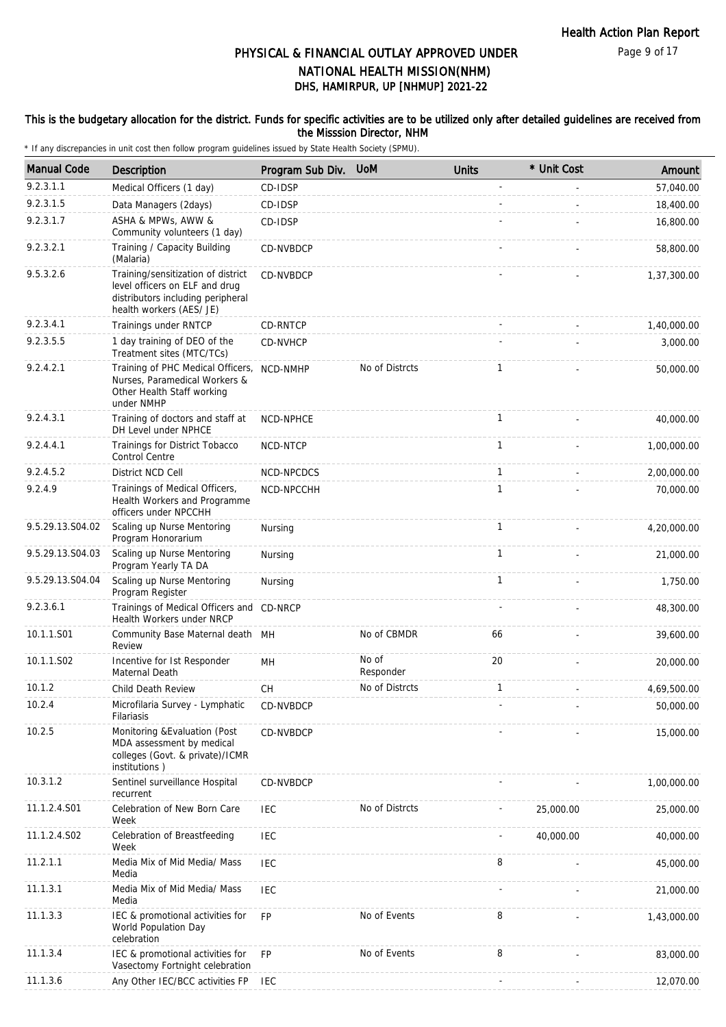#### This is the budgetary allocation for the district. Funds for specific activities are to be utilized only after detailed guidelines are received from the Misssion Director, NHM

| <b>Manual Code</b> | Description                                                                                                                           | Program Sub Div. | <b>UoM</b>         | <b>Units</b> | * Unit Cost | Amount      |
|--------------------|---------------------------------------------------------------------------------------------------------------------------------------|------------------|--------------------|--------------|-------------|-------------|
| 9.2.3.1.1          | Medical Officers (1 day)                                                                                                              | CD-IDSP          |                    |              |             | 57,040.00   |
| 9.2.3.1.5          | Data Managers (2days)                                                                                                                 | CD-IDSP          |                    |              |             | 18,400.00   |
| 9.2.3.1.7          | ASHA & MPWs, AWW &<br>Community volunteers (1 day)                                                                                    | CD-IDSP          |                    |              |             | 16,800.00   |
| 9.2.3.2.1          | Training / Capacity Building<br>(Malaria)                                                                                             | CD-NVBDCP        |                    |              |             | 58,800.00   |
| 9.5.3.2.6          | Training/sensitization of district<br>level officers on ELF and drug<br>distributors including peripheral<br>health workers (AES/ JE) | CD-NVBDCP        |                    |              |             | 1,37,300.00 |
| 9.2.3.4.1          | Trainings under RNTCP                                                                                                                 | CD-RNTCP         |                    |              |             | 1,40,000.00 |
| 9.2.3.5.5          | 1 day training of DEO of the<br>Treatment sites (MTC/TCs)                                                                             | CD-NVHCP         |                    |              |             | 3,000.00    |
| 9.2.4.2.1          | Training of PHC Medical Officers,<br>Nurses, Paramedical Workers &<br>Other Health Staff working<br>under NMHP                        | NCD-NMHP         | No of Distrcts     | $\mathbf{1}$ |             | 50,000.00   |
| 9.2.4.3.1          | Training of doctors and staff at<br>DH Level under NPHCE                                                                              | NCD-NPHCE        |                    | $\mathbf{1}$ |             | 40,000.00   |
| 9.2.4.4.1          | Trainings for District Tobacco<br><b>Control Centre</b>                                                                               | NCD-NTCP         |                    | $\mathbf{1}$ |             | 1,00,000.00 |
| 9.2.4.5.2          | District NCD Cell                                                                                                                     | NCD-NPCDCS       |                    | $\mathbf{1}$ |             | 2,00,000.00 |
| 9.2.4.9            | Trainings of Medical Officers,<br>Health Workers and Programme<br>officers under NPCCHH                                               | NCD-NPCCHH       |                    | $\mathbf{1}$ |             | 70,000.00   |
| 9.5.29.13.S04.02   | Scaling up Nurse Mentoring<br>Program Honorarium                                                                                      | Nursing          |                    | $\mathbf{1}$ |             | 4,20,000.00 |
| 9.5.29.13.S04.03   | Scaling up Nurse Mentoring<br>Program Yearly TA DA                                                                                    | Nursing          |                    | $\mathbf{1}$ |             | 21,000.00   |
| 9.5.29.13.S04.04   | Scaling up Nurse Mentoring<br>Program Register                                                                                        | Nursing          |                    | $\mathbf{1}$ |             | 1,750.00    |
| 9.2.3.6.1          | Trainings of Medical Officers and CD-NRCP<br>Health Workers under NRCP                                                                |                  |                    |              |             | 48,300.00   |
| 10.1.1.S01         | Community Base Maternal death MH<br>Review                                                                                            |                  | No of CBMDR        | 66           |             | 39,600.00   |
| 10.1.1.S02         | Incentive for Ist Responder<br>Maternal Death                                                                                         | MH               | No of<br>Responder | 20           |             | 20,000.00   |
| 10.1.2             | Child Death Review                                                                                                                    | CH               | No of Distrcts     | 1            |             | 4,69,500.00 |
| 10.2.4             | Microfilaria Survey - Lymphatic<br>Filariasis                                                                                         | CD-NVBDCP        |                    |              |             | 50,000.00   |
| 10.2.5             | Monitoring & Evaluation (Post<br>MDA assessment by medical<br>colleges (Govt. & private)/ICMR<br>institutions)                        | CD-NVBDCP        |                    |              |             | 15,000.00   |
| 10.3.1.2           | Sentinel surveillance Hospital<br>recurrent                                                                                           | CD-NVBDCP        |                    |              |             | 1,00,000.00 |
| 11.1.2.4.S01       | Celebration of New Born Care<br>Week                                                                                                  | <b>IEC</b>       | No of Distrcts     |              | 25,000.00   | 25,000.00   |
| 11.1.2.4.S02       | Celebration of Breastfeeding<br>Week                                                                                                  | <b>IEC</b>       |                    |              | 40,000.00   | 40,000.00   |
| 11.2.1.1           | Media Mix of Mid Media/ Mass<br>Media                                                                                                 | <b>IEC</b>       |                    | 8            |             | 45,000.00   |
| 11.1.3.1           | Media Mix of Mid Media/ Mass<br>Media                                                                                                 | <b>IEC</b>       |                    |              |             | 21,000.00   |
| 11.1.3.3           | IEC & promotional activities for<br>World Population Day<br>celebration                                                               | <b>FP</b>        | No of Events       | 8            |             | 1,43,000.00 |
| 11.1.3.4           | IEC & promotional activities for<br>Vasectomy Fortnight celebration                                                                   | <b>FP</b>        | No of Events       | 8            |             | 83,000.00   |
| 11.1.3.6           | Any Other IEC/BCC activities FP                                                                                                       | <b>IEC</b>       |                    |              |             | 12,070.00   |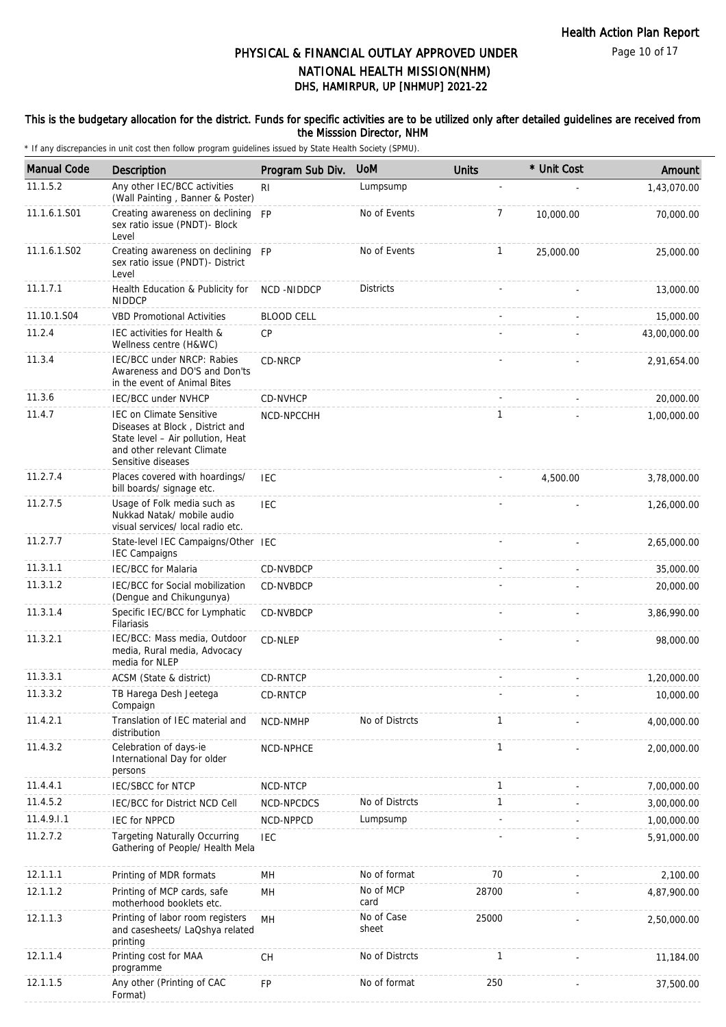#### This is the budgetary allocation for the district. Funds for specific activities are to be utilized only after detailed guidelines are received from the Misssion Director, NHM

| <b>Manual Code</b> | Description                                                                                                                                                 | Program Sub Div.  | <b>UoM</b>          | <b>Units</b> | * Unit Cost | Amount       |
|--------------------|-------------------------------------------------------------------------------------------------------------------------------------------------------------|-------------------|---------------------|--------------|-------------|--------------|
| 11.1.5.2           | Any other IEC/BCC activities<br>(Wall Painting, Banner & Poster)                                                                                            | RI.               | Lumpsump            |              |             | 1,43,070.00  |
| 11.1.6.1.S01       | Creating awareness on declining FP<br>sex ratio issue (PNDT)- Block<br>Level                                                                                |                   | No of Events        | 7            | 10,000.00   | 70,000.00    |
| 11.1.6.1.S02       | Creating awareness on declining FP<br>sex ratio issue (PNDT)- District<br>Level                                                                             |                   | No of Events        | 1            | 25,000.00   | 25,000.00    |
| 11.1.7.1           | Health Education & Publicity for<br><b>NIDDCP</b>                                                                                                           | NCD-NIDDCP        | <b>Districts</b>    |              |             | 13,000.00    |
| 11.10.1.S04        | <b>VBD Promotional Activities</b>                                                                                                                           | <b>BLOOD CELL</b> |                     |              |             | 15,000.00    |
| 11.2.4             | IEC activities for Health &<br>Wellness centre (H&WC)                                                                                                       | CP                |                     |              |             | 43,00,000.00 |
| 11.3.4             | IEC/BCC under NRCP: Rabies<br>Awareness and DO'S and Don'ts<br>in the event of Animal Bites                                                                 | CD-NRCP           |                     |              |             | 2,91,654.00  |
| 11.3.6             | <b>IEC/BCC under NVHCP</b>                                                                                                                                  | <b>CD-NVHCP</b>   |                     |              |             | 20,000.00    |
| 11.4.7             | <b>IEC on Climate Sensitive</b><br>Diseases at Block, District and<br>State level - Air pollution, Heat<br>and other relevant Climate<br>Sensitive diseases | NCD-NPCCHH        |                     | $\mathbf{1}$ |             | 1,00,000.00  |
| 11.2.7.4           | Places covered with hoardings/<br>bill boards/ signage etc.                                                                                                 | <b>IEC</b>        |                     |              | 4,500.00    | 3,78,000.00  |
| 11.2.7.5           | Usage of Folk media such as<br>Nukkad Natak/ mobile audio<br>visual services/ local radio etc.                                                              | <b>IEC</b>        |                     |              |             | 1,26,000.00  |
| 11.2.7.7           | State-level IEC Campaigns/Other IEC<br><b>IEC Campaigns</b>                                                                                                 |                   |                     |              |             | 2,65,000.00  |
| 11.3.1.1           | <b>IEC/BCC</b> for Malaria                                                                                                                                  | CD-NVBDCP         |                     |              |             | 35,000.00    |
| 11.3.1.2           | IEC/BCC for Social mobilization<br>(Dengue and Chikungunya)                                                                                                 | CD-NVBDCP         |                     |              |             | 20,000.00    |
| 11.3.1.4           | Specific IEC/BCC for Lymphatic<br>Filariasis                                                                                                                | CD-NVBDCP         |                     |              |             | 3,86,990.00  |
| 11.3.2.1           | IEC/BCC: Mass media, Outdoor<br>media, Rural media, Advocacy<br>media for NLEP                                                                              | CD-NLEP           |                     |              |             | 98,000.00    |
| 11.3.3.1           | ACSM (State & district)                                                                                                                                     | CD-RNTCP          |                     |              |             | 1,20,000.00  |
| 11.3.3.2           | TB Harega Desh Jeetega<br>Compaign                                                                                                                          | CD-RNTCP          |                     |              |             | 10,000.00    |
| 11.4.2.1           | Translation of IEC material and<br>distribution                                                                                                             | NCD-NMHP          | No of Distrcts      | 1            |             | 4,00,000.00  |
| 11.4.3.2           | Celebration of days-ie<br>International Day for older<br>persons                                                                                            | NCD-NPHCE         |                     | 1            |             | 2,00,000.00  |
| 11.4.4.1           | IEC/SBCC for NTCP                                                                                                                                           | NCD-NTCP          |                     | 1            |             | 7,00,000.00  |
| 11.4.5.2           | <b>IEC/BCC for District NCD Cell</b>                                                                                                                        | NCD-NPCDCS        | No of Distrcts      | 1            |             | 3,00,000.00  |
| 11.4.9.1.1         | <b>IEC for NPPCD</b>                                                                                                                                        | NCD-NPPCD         | Lumpsump            | ÷,           |             | 1,00,000.00  |
| 11.2.7.2           | <b>Targeting Naturally Occurring</b><br>Gathering of People/ Health Mela                                                                                    | <b>IEC</b>        |                     |              |             | 5,91,000.00  |
| 12.1.1.1           | Printing of MDR formats                                                                                                                                     | MН                | No of format        | 70           |             | 2,100.00     |
| 12.1.1.2           | Printing of MCP cards, safe<br>motherhood booklets etc.                                                                                                     | MH                | No of MCP<br>card   | 28700        |             | 4,87,900.00  |
| 12.1.1.3           | Printing of labor room registers<br>and casesheets/ LaQshya related<br>printing                                                                             | <b>MH</b>         | No of Case<br>sheet | 25000        |             | 2,50,000.00  |
| 12.1.1.4           | Printing cost for MAA<br>programme                                                                                                                          | CH                | No of Distrcts      | 1            |             | 11,184.00    |
| 12.1.1.5           | Any other (Printing of CAC<br>Format)                                                                                                                       | FP                | No of format        | 250          |             | 37,500.00    |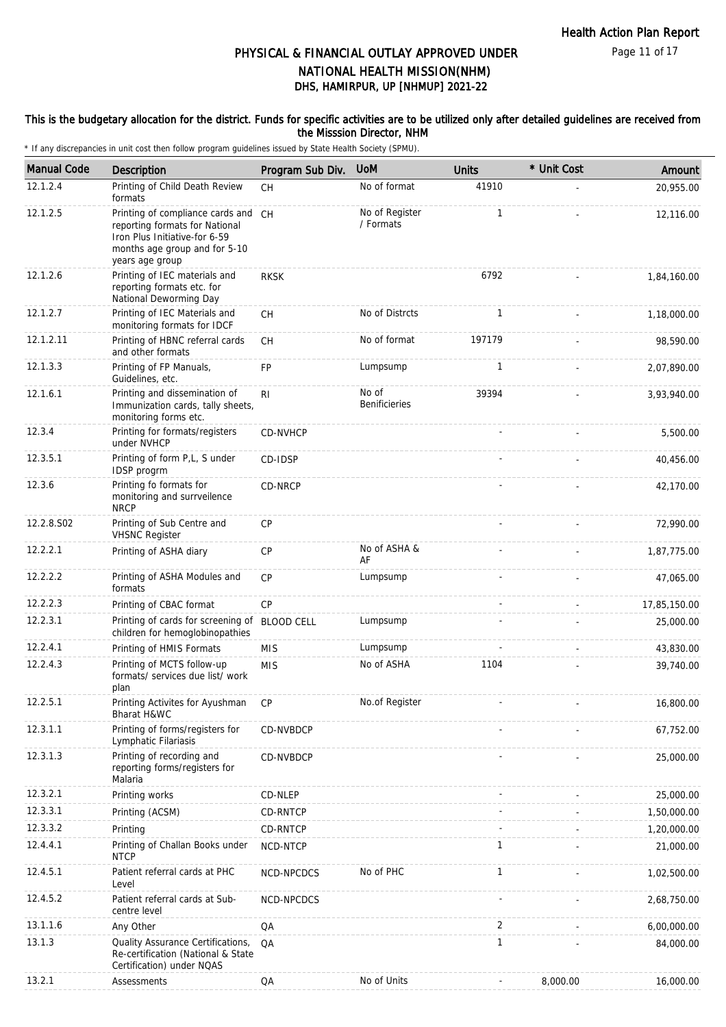Page 11 of 17

# DHS, HAMIRPUR, UP [NHMUP] 2021-22 PHYSICAL & FINANCIAL OUTLAY APPROVED UNDER NATIONAL HEALTH MISSION(NHM)

#### This is the budgetary allocation for the district. Funds for specific activities are to be utilized only after detailed guidelines are received from the Misssion Director, NHM

| <b>Manual Code</b> | <b>Description</b>                                                                                                                                         | Program Sub Div.  | <b>UoM</b>                    | <b>Units</b> | * Unit Cost | Amount       |
|--------------------|------------------------------------------------------------------------------------------------------------------------------------------------------------|-------------------|-------------------------------|--------------|-------------|--------------|
| 12.1.2.4           | Printing of Child Death Review<br>formats                                                                                                                  | <b>CH</b>         | No of format                  | 41910        |             | 20,955.00    |
| 12.1.2.5           | Printing of compliance cards and CH<br>reporting formats for National<br>Iron Plus Initiative-for 6-59<br>months age group and for 5-10<br>years age group |                   | No of Register<br>/ Formats   | $\mathbf{1}$ |             | 12,116.00    |
| 12.1.2.6           | Printing of IEC materials and<br>reporting formats etc. for<br>National Deworming Day                                                                      | <b>RKSK</b>       |                               | 6792         |             | 1,84,160.00  |
| 12.1.2.7           | Printing of IEC Materials and<br>monitoring formats for IDCF                                                                                               | СH                | No of Distrcts                | 1            |             | 1,18,000.00  |
| 12.1.2.11          | Printing of HBNC referral cards<br>and other formats                                                                                                       | <b>CH</b>         | No of format                  | 197179       |             | 98,590.00    |
| 12.1.3.3           | Printing of FP Manuals,<br>Guidelines, etc.                                                                                                                | FP                | Lumpsump                      | $\mathbf{1}$ |             | 2,07,890.00  |
| 12.1.6.1           | Printing and dissemination of<br>Immunization cards, tally sheets,<br>monitoring forms etc.                                                                | R <sub>l</sub>    | No of<br><b>Benificieries</b> | 39394        |             | 3,93,940.00  |
| 12.3.4             | Printing for formats/registers<br>under NVHCP                                                                                                              | CD-NVHCP          |                               |              |             | 5,500.00     |
| 12.3.5.1           | Printing of form P,L, S under<br>IDSP progrm                                                                                                               | CD-IDSP           |                               |              |             | 40,456.00    |
| 12.3.6             | Printing fo formats for<br>monitoring and surrveilence<br><b>NRCP</b>                                                                                      | CD-NRCP           |                               |              |             | 42,170.00    |
| 12.2.8.S02         | Printing of Sub Centre and<br><b>VHSNC Register</b>                                                                                                        | <b>CP</b>         |                               |              |             | 72,990.00    |
| 12.2.2.1           | Printing of ASHA diary                                                                                                                                     | CP                | No of ASHA &<br>AF            |              |             | 1,87,775.00  |
| 12.2.2.2           | Printing of ASHA Modules and<br>formats                                                                                                                    | CP                | Lumpsump                      |              |             | 47,065.00    |
| 12.2.2.3           | Printing of CBAC format                                                                                                                                    | CP                |                               |              |             | 17,85,150.00 |
| 12.2.3.1           | Printing of cards for screening of<br>children for hemoglobinopathies                                                                                      | <b>BLOOD CELL</b> | Lumpsump                      |              |             | 25,000.00    |
| 12.2.4.1           | Printing of HMIS Formats                                                                                                                                   | <b>MIS</b>        | Lumpsump                      |              |             | 43,830.00    |
| 12.2.4.3           | Printing of MCTS follow-up<br>formats/ services due list/ work<br>plan                                                                                     | <b>MIS</b>        | No of ASHA                    | 1104         |             | 39,740.00    |
| 12.2.5.1           | Printing Activites for Ayushman<br>Bharat H&WC                                                                                                             | СP                | No.of Register                |              |             | 16,800.00    |
| 12.3.1.1           | Printing of forms/registers for<br>Lymphatic Filariasis                                                                                                    | CD-NVBDCP         |                               |              |             | 67,752.00    |
| 12.3.1.3           | Printing of recording and<br>reporting forms/registers for<br>Malaria                                                                                      | CD-NVBDCP         |                               |              |             | 25,000.00    |
| 12.3.2.1           | Printing works                                                                                                                                             | CD-NLEP           |                               |              |             | 25,000.00    |
| 12.3.3.1           | Printing (ACSM)                                                                                                                                            | CD-RNTCP          |                               |              |             | 1,50,000.00  |
| 12.3.3.2           | Printing                                                                                                                                                   | CD-RNTCP          |                               |              |             | 1,20,000.00  |
| 12.4.4.1           | Printing of Challan Books under<br><b>NTCP</b>                                                                                                             | NCD-NTCP          |                               | $\mathbf{1}$ |             | 21,000.00    |
| 12.4.5.1           | Patient referral cards at PHC<br>Level                                                                                                                     | NCD-NPCDCS        | No of PHC                     | $\mathbf{1}$ |             | 1,02,500.00  |
| 12.4.5.2           | Patient referral cards at Sub-<br>centre level                                                                                                             | NCD-NPCDCS        |                               |              |             | 2,68,750.00  |
| 13.1.1.6           | Any Other                                                                                                                                                  | QA                |                               | 2            |             | 6,00,000.00  |
| 13.1.3             | Quality Assurance Certifications,<br>Re-certification (National & State<br>Certification) under NQAS                                                       | QA                |                               | 1            |             | 84,000.00    |
| 13.2.1             | Assessments                                                                                                                                                | QA                | No of Units                   |              | 8,000.00    | 16,000.00    |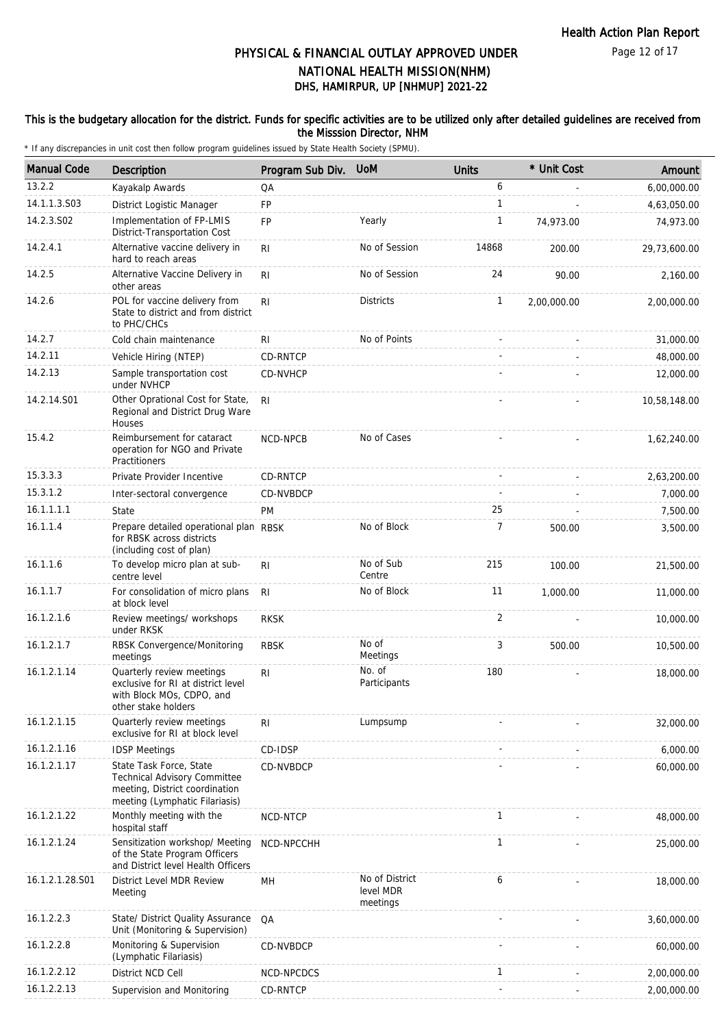#### This is the budgetary allocation for the district. Funds for specific activities are to be utilized only after detailed guidelines are received from the Misssion Director, NHM

| <b>Manual Code</b> | <b>Description</b>                                                                                                          | Program Sub Div. | <b>UoM</b>                              | <b>Units</b>   | * Unit Cost | Amount       |
|--------------------|-----------------------------------------------------------------------------------------------------------------------------|------------------|-----------------------------------------|----------------|-------------|--------------|
| 13.2.2             | Kayakalp Awards                                                                                                             | QA               |                                         | 6              |             | 6,00,000.00  |
| 14.1.1.3.S03       | District Logistic Manager                                                                                                   | <b>FP</b>        |                                         | $\mathbf{1}$   |             | 4,63,050.00  |
| 14.2.3.S02         | Implementation of FP-LMIS<br>District-Transportation Cost                                                                   | <b>FP</b>        | Yearly                                  | $\mathbf{1}$   | 74,973.00   | 74,973.00    |
| 14.2.4.1           | Alternative vaccine delivery in<br>hard to reach areas                                                                      | R <sub>l</sub>   | No of Session                           | 14868          | 200.00      | 29,73,600.00 |
| 14.2.5             | Alternative Vaccine Delivery in<br>other areas                                                                              | R <sub>l</sub>   | No of Session                           | 24             | 90.00       | 2,160.00     |
| 14.2.6             | POL for vaccine delivery from<br>State to district and from district<br>to PHC/CHCs                                         | R <sub>l</sub>   | <b>Districts</b>                        | $\mathbf{1}$   | 2,00,000.00 | 2,00,000.00  |
| 14.2.7             | Cold chain maintenance                                                                                                      | RI               | No of Points                            |                |             | 31,000.00    |
| 14.2.11            | Vehicle Hiring (NTEP)                                                                                                       | CD-RNTCP         |                                         |                |             | 48,000.00    |
| 14.2.13            | Sample transportation cost<br>under NVHCP                                                                                   | <b>CD-NVHCP</b>  |                                         |                |             | 12,000.00    |
| 14.2.14.S01        | Other Oprational Cost for State,<br>Regional and District Drug Ware<br>Houses                                               | R <sub>l</sub>   |                                         |                |             | 10,58,148.00 |
| 15.4.2             | Reimbursement for cataract<br>operation for NGO and Private<br>Practitioners                                                | NCD-NPCB         | No of Cases                             |                |             | 1,62,240.00  |
| 15.3.3.3           | Private Provider Incentive                                                                                                  | CD-RNTCP         |                                         |                |             | 2,63,200.00  |
| 15.3.1.2           | Inter-sectoral convergence                                                                                                  | CD-NVBDCP        |                                         |                |             | 7,000.00     |
| 16.1.1.1.1         | State                                                                                                                       | <b>PM</b>        |                                         | 25             |             | 7,500.00     |
| 16.1.1.4           | Prepare detailed operational plan RBSK<br>for RBSK across districts<br>(including cost of plan)                             |                  | No of Block                             | $\overline{7}$ | 500.00      | 3,500.00     |
| 16.1.1.6           | To develop micro plan at sub-<br>centre level                                                                               | R <sub>l</sub>   | No of Sub<br>Centre                     | 215            | 100.00      | 21,500.00    |
| 16.1.1.7           | For consolidation of micro plans<br>at block level                                                                          | R <sub>l</sub>   | No of Block                             | 11             | 1,000.00    | 11,000.00    |
| 16.1.2.1.6         | Review meetings/ workshops<br>under RKSK                                                                                    | <b>RKSK</b>      |                                         | $\overline{2}$ |             | 10,000.00    |
| 16.1.2.1.7         | RBSK Convergence/Monitoring<br>meetings                                                                                     | <b>RBSK</b>      | No of<br>Meetings                       | 3              | 500.00      | 10,500.00    |
| 16.1.2.1.14        | Quarterly review meetings<br>exclusive for RI at district level<br>with Block MOs, CDPO, and<br>other stake holders         | R <sub>l</sub>   | No. of<br>Participants                  | 180            |             | 18,000.00    |
| 16.1.2.1.15        | Quarterly review meetings<br>exclusive for RI at block level                                                                | R <sub>l</sub>   | Lumpsump                                |                |             | 32,000.00    |
| 16.1.2.1.16        | <b>IDSP Meetings</b>                                                                                                        | CD-IDSP          |                                         |                |             | 6,000.00     |
| 16.1.2.1.17        | State Task Force, State<br>Technical Advisory Committee<br>meeting, District coordination<br>meeting (Lymphatic Filariasis) | CD-NVBDCP        |                                         |                |             | 60,000.00    |
| 16.1.2.1.22        | Monthly meeting with the<br>hospital staff                                                                                  | NCD-NTCP         |                                         | $\mathbf{1}$   |             | 48,000.00    |
| 16.1.2.1.24        | Sensitization workshop/ Meeting<br>of the State Program Officers<br>and District level Health Officers                      | NCD-NPCCHH       |                                         | $\mathbf{1}$   |             | 25,000.00    |
| 16.1.2.1.28.S01    | District Level MDR Review<br>Meeting                                                                                        | MН               | No of District<br>level MDR<br>meetings | 6              |             | 18,000.00    |
| 16.1.2.2.3         | State/ District Quality Assurance<br>Unit (Monitoring & Supervision)                                                        | QA               |                                         |                |             | 3,60,000.00  |
| 16.1.2.2.8         | Monitoring & Supervision<br>(Lymphatic Filariasis)                                                                          | CD-NVBDCP        |                                         |                |             | 60,000.00    |
| 16.1.2.2.12        | District NCD Cell                                                                                                           | NCD-NPCDCS       |                                         | 1              |             | 2,00,000.00  |
| 16.1.2.2.13        | Supervision and Monitoring                                                                                                  | CD-RNTCP         |                                         |                |             | 2,00,000.00  |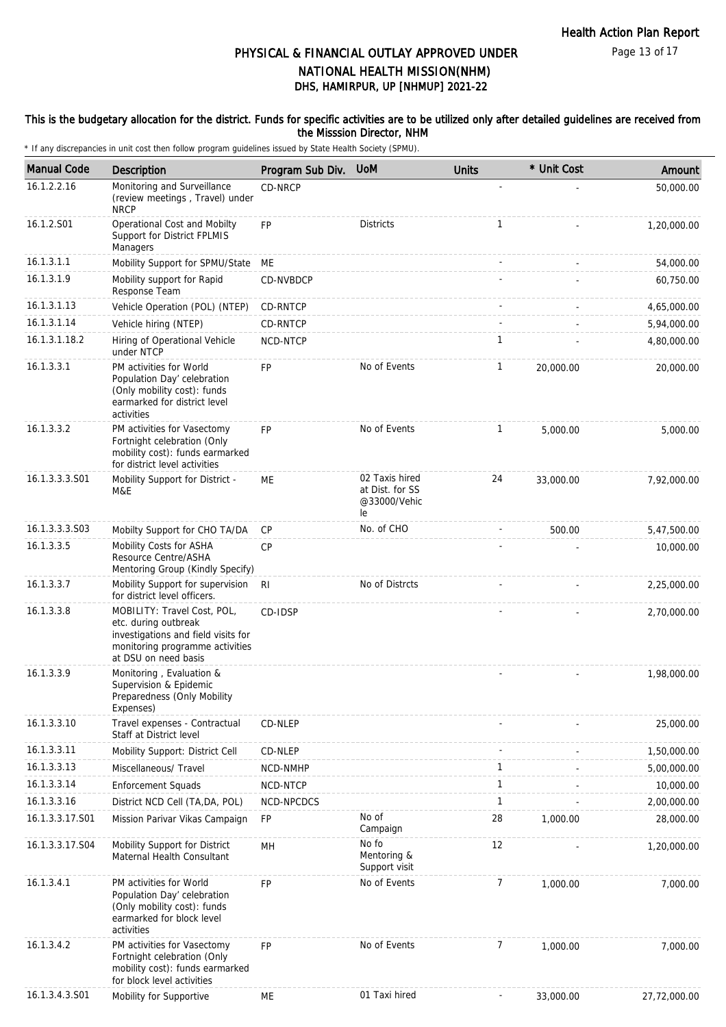Page 13 of 17

# DHS, HAMIRPUR, UP [NHMUP] 2021-22 PHYSICAL & FINANCIAL OUTLAY APPROVED UNDER NATIONAL HEALTH MISSION(NHM)

#### This is the budgetary allocation for the district. Funds for specific activities are to be utilized only after detailed guidelines are received from the Misssion Director, NHM

| <b>Manual Code</b> | Description                                                                                                                                           | Program Sub Div. | <b>UoM</b>                                              | <b>Units</b>             | * Unit Cost | Amount       |
|--------------------|-------------------------------------------------------------------------------------------------------------------------------------------------------|------------------|---------------------------------------------------------|--------------------------|-------------|--------------|
| 16.1.2.2.16        | Monitoring and Surveillance<br>(review meetings, Travel) under<br><b>NRCP</b>                                                                         | CD-NRCP          |                                                         |                          |             | 50,000.00    |
| 16.1.2.S01         | Operational Cost and Mobilty<br>Support for District FPLMIS<br>Managers                                                                               | <b>FP</b>        | <b>Districts</b>                                        | $\mathbf{1}$             |             | 1,20,000.00  |
| 16.1.3.1.1         | Mobility Support for SPMU/State                                                                                                                       | МE               |                                                         |                          |             | 54,000.00    |
| 16.1.3.1.9         | Mobility support for Rapid<br>Response Team                                                                                                           | CD-NVBDCP        |                                                         |                          |             | 60,750.00    |
| 16.1.3.1.13        | Vehicle Operation (POL) (NTEP)                                                                                                                        | CD-RNTCP         |                                                         |                          |             | 4,65,000.00  |
| 16.1.3.1.14        | Vehicle hiring (NTEP)                                                                                                                                 | CD-RNTCP         |                                                         |                          |             | 5,94,000.00  |
| 16.1.3.1.18.2      | Hiring of Operational Vehicle<br>under NTCP                                                                                                           | NCD-NTCP         |                                                         | $\mathbf{1}$             |             | 4,80,000.00  |
| 16.1.3.3.1         | PM activities for World<br>Population Day' celebration<br>(Only mobility cost): funds<br>earmarked for district level<br>activities                   | FP               | No of Events                                            | 1                        | 20,000.00   | 20,000.00    |
| 16.1.3.3.2         | PM activities for Vasectomy<br>Fortnight celebration (Only<br>mobility cost): funds earmarked<br>for district level activities                        | <b>FP</b>        | No of Events                                            | $\mathbf{1}$             | 5,000.00    | 5,000.00     |
| 16.1.3.3.3.S01     | Mobility Support for District -<br>M&E                                                                                                                | ME               | 02 Taxis hired<br>at Dist. for SS<br>@33000/Vehic<br>le | 24                       | 33,000.00   | 7,92,000.00  |
| 16.1.3.3.3.S03     | Mobilty Support for CHO TA/DA                                                                                                                         | CP               | No. of CHO                                              |                          | 500.00      | 5,47,500.00  |
| 16.1.3.3.5         | Mobility Costs for ASHA<br>Resource Centre/ASHA<br>Mentoring Group (Kindly Specify)                                                                   | <b>CP</b>        |                                                         |                          |             | 10,000.00    |
| 16.1.3.3.7         | Mobility Support for supervision<br>for district level officers.                                                                                      | <b>RI</b>        | No of Distrcts                                          |                          |             | 2,25,000.00  |
| 16.1.3.3.8         | MOBILITY: Travel Cost, POL,<br>etc. during outbreak<br>investigations and field visits for<br>monitoring programme activities<br>at DSU on need basis | CD-IDSP          |                                                         |                          |             | 2,70,000.00  |
| 16.1.3.3.9         | Monitoring, Evaluation &<br>Supervision & Epidemic<br>Preparedness (Only Mobility<br>Expenses)                                                        |                  |                                                         |                          |             | 1,98,000.00  |
| 16.1.3.3.10        | Travel expenses - Contractual<br>Staff at District level                                                                                              | CD-NLEP          |                                                         |                          |             | 25,000.00    |
| 16.1.3.3.11        | Mobility Support: District Cell                                                                                                                       | CD-NLEP          |                                                         |                          |             | 1,50,000.00  |
| 16.1.3.3.13        | Miscellaneous/ Travel                                                                                                                                 | NCD-NMHP         |                                                         | 1                        |             | 5,00,000.00  |
| 16.1.3.3.14        | <b>Enforcement Squads</b>                                                                                                                             | NCD-NTCP         |                                                         | $\mathbf{1}$             |             | 10,000.00    |
| 16.1.3.3.16        | District NCD Cell (TA, DA, POL)                                                                                                                       | NCD-NPCDCS       |                                                         | $\mathbf{1}$             |             | 2,00,000.00  |
| 16.1.3.3.17.S01    | Mission Parivar Vikas Campaign                                                                                                                        | FP               | No of<br>Campaign                                       | 28                       | 1,000.00    | 28,000.00    |
| 16.1.3.3.17.S04    | Mobility Support for District<br>Maternal Health Consultant                                                                                           | MН               | No fo<br>Mentoring &<br>Support visit                   | 12                       |             | 1,20,000.00  |
| 16.1.3.4.1         | PM activities for World<br>Population Day' celebration<br>(Only mobility cost): funds<br>earmarked for block level<br>activities                      | FP               | No of Events                                            | $\overline{7}$           | 1,000.00    | 7,000.00     |
| 16.1.3.4.2         | PM activities for Vasectomy<br>Fortnight celebration (Only<br>mobility cost): funds earmarked<br>for block level activities                           | FP               | No of Events                                            | 7                        | 1,000.00    | 7,000.00     |
| 16.1.3.4.3.S01     | Mobility for Supportive                                                                                                                               | МE               | 01 Taxi hired                                           | $\overline{\phantom{a}}$ | 33,000.00   | 27,72,000.00 |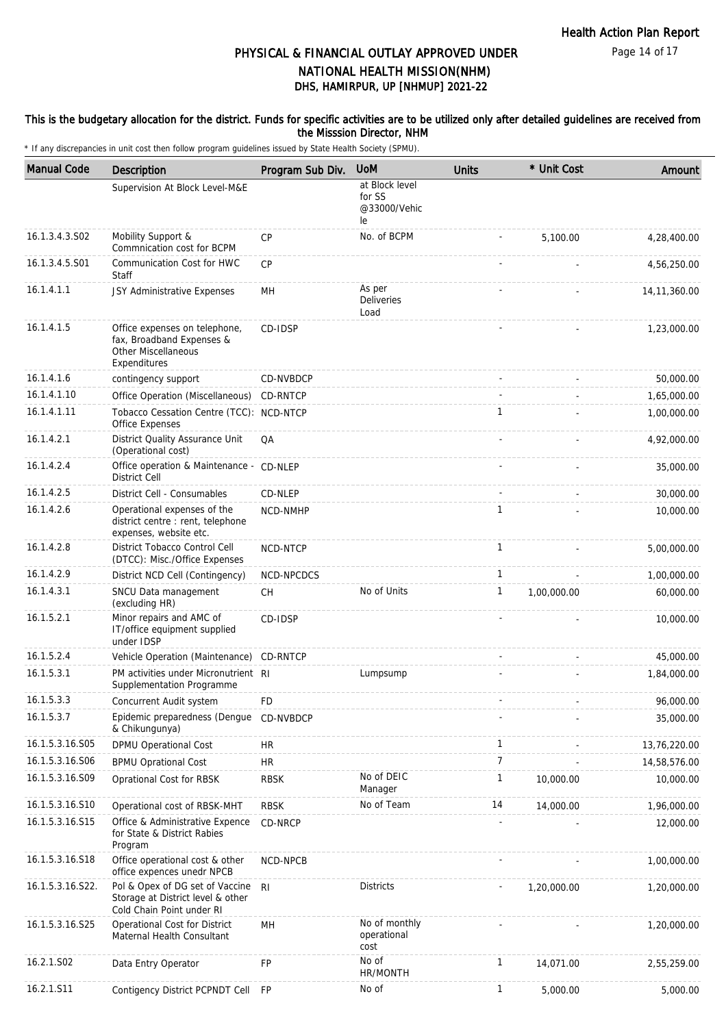#### This is the budgetary allocation for the district. Funds for specific activities are to be utilized only after detailed guidelines are received from the Misssion Director, NHM

| <b>Manual Code</b> | <b>Description</b>                                                                                | Program Sub Div. | <b>UoM</b>                                     | <b>Units</b>   | * Unit Cost | Amount         |
|--------------------|---------------------------------------------------------------------------------------------------|------------------|------------------------------------------------|----------------|-------------|----------------|
|                    | Supervision At Block Level-M&E                                                                    |                  | at Block level<br>for SS<br>@33000/Vehic<br>le |                |             |                |
| 16.1.3.4.3.S02     | Mobility Support &<br>Commnication cost for BCPM                                                  | <b>CP</b>        | No. of BCPM                                    |                | 5.100.00    | 4,28,400.00    |
| 16.1.3.4.5.S01     | Communication Cost for HWC<br>Staff                                                               | CP               |                                                |                |             | 4,56,250.00    |
| 16.1.4.1.1         | JSY Administrative Expenses                                                                       | MH               | As per<br><b>Deliveries</b><br>Load            |                |             | 14, 11, 360.00 |
| 16.1.4.1.5         | Office expenses on telephone,<br>fax, Broadband Expenses &<br>Other Miscellaneous<br>Expenditures | CD-IDSP          |                                                |                |             | 1,23,000.00    |
| 16.1.4.1.6         | contingency support                                                                               | CD-NVBDCP        |                                                |                |             | 50,000.00      |
| 16.1.4.1.10        | Office Operation (Miscellaneous)                                                                  | CD-RNTCP         |                                                |                |             | 1,65,000.00    |
| 16.1.4.1.11        | Tobacco Cessation Centre (TCC): NCD-NTCP<br>Office Expenses                                       |                  |                                                | 1              |             | 1,00,000.00    |
| 16.1.4.2.1         | District Quality Assurance Unit<br>(Operational cost)                                             | QA               |                                                |                |             | 4,92,000.00    |
| 16.1.4.2.4         | Office operation & Maintenance - CD-NLEP<br><b>District Cell</b>                                  |                  |                                                |                |             | 35,000.00      |
| 16.1.4.2.5         | District Cell - Consumables                                                                       | CD-NLEP          |                                                |                |             | 30,000.00      |
| 16.1.4.2.6         | Operational expenses of the<br>district centre : rent, telephone<br>expenses, website etc.        | NCD-NMHP         |                                                | $\mathbf{1}$   |             | 10,000.00      |
| 16.1.4.2.8         | District Tobacco Control Cell<br>(DTCC): Misc./Office Expenses                                    | NCD-NTCP         |                                                | $\mathbf{1}$   |             | 5,00,000.00    |
| 16.1.4.2.9         | District NCD Cell (Contingency)                                                                   | NCD-NPCDCS       |                                                | $\mathbf{1}$   |             | 1,00,000.00    |
| 16.1.4.3.1         | SNCU Data management<br>(excluding HR)                                                            | <b>CH</b>        | No of Units                                    | 1              | 1,00,000.00 | 60,000.00      |
| 16.1.5.2.1         | Minor repairs and AMC of<br>IT/office equipment supplied<br>under IDSP                            | CD-IDSP          |                                                |                |             | 10,000.00      |
| 16.1.5.2.4         | Vehicle Operation (Maintenance)                                                                   | CD-RNTCP         |                                                |                |             | 45,000.00      |
| 16.1.5.3.1         | PM activities under Micronutrient RI<br>Supplementation Programme                                 |                  | Lumpsump                                       |                |             | 1,84,000.00    |
| 16.1.5.3.3         | Concurrent Audit system                                                                           | <b>FD</b>        |                                                |                |             | 96,000.00      |
| 16.1.5.3.7         | Epidemic preparedness (Dengue<br>& Chikungunya)                                                   | CD-NVBDCP        |                                                |                |             | 35,000.00      |
| 16.1.5.3.16.S05    | DPMU Operational Cost                                                                             | HR.              |                                                | $\mathbf{1}$   |             | 13,76,220.00   |
| 16.1.5.3.16.S06    | <b>BPMU Oprational Cost</b>                                                                       | <b>HR</b>        |                                                | $\overline{7}$ |             | 14,58,576.00   |
| 16.1.5.3.16.S09    | Oprational Cost for RBSK                                                                          | <b>RBSK</b>      | No of DEIC<br>Manager                          | 1              | 10,000.00   | 10,000.00      |
| 16.1.5.3.16.S10    | Operational cost of RBSK-MHT                                                                      | <b>RBSK</b>      | No of Team                                     | 14             | 14,000.00   | 1,96,000.00    |
| 16.1.5.3.16.S15    | Office & Administrative Expence<br>for State & District Rabies<br>Program                         | CD-NRCP          |                                                |                |             | 12,000.00      |
| 16.1.5.3.16.S18    | Office operational cost & other<br>office expences unedr NPCB                                     | NCD-NPCB         |                                                |                |             | 1,00,000.00    |
| 16.1.5.3.16.S22.   | Pol & Opex of DG set of Vaccine<br>Storage at District level & other<br>Cold Chain Point under RI | R <sub>l</sub>   | <b>Districts</b>                               |                | 1,20,000.00 | 1,20,000.00    |
| 16.1.5.3.16.S25    | Operational Cost for District<br>Maternal Health Consultant                                       | MH               | No of monthly<br>operational<br>cost           |                |             | 1,20,000.00    |
| 16.2.1.S02         | Data Entry Operator                                                                               | FP               | No of<br>HR/MONTH                              | $\mathbf{1}$   | 14,071.00   | 2,55,259.00    |
| 16.2.1.S11         | Contigency District PCPNDT Cell                                                                   | <b>FP</b>        | No of                                          | 1              | 5,000.00    | 5,000.00       |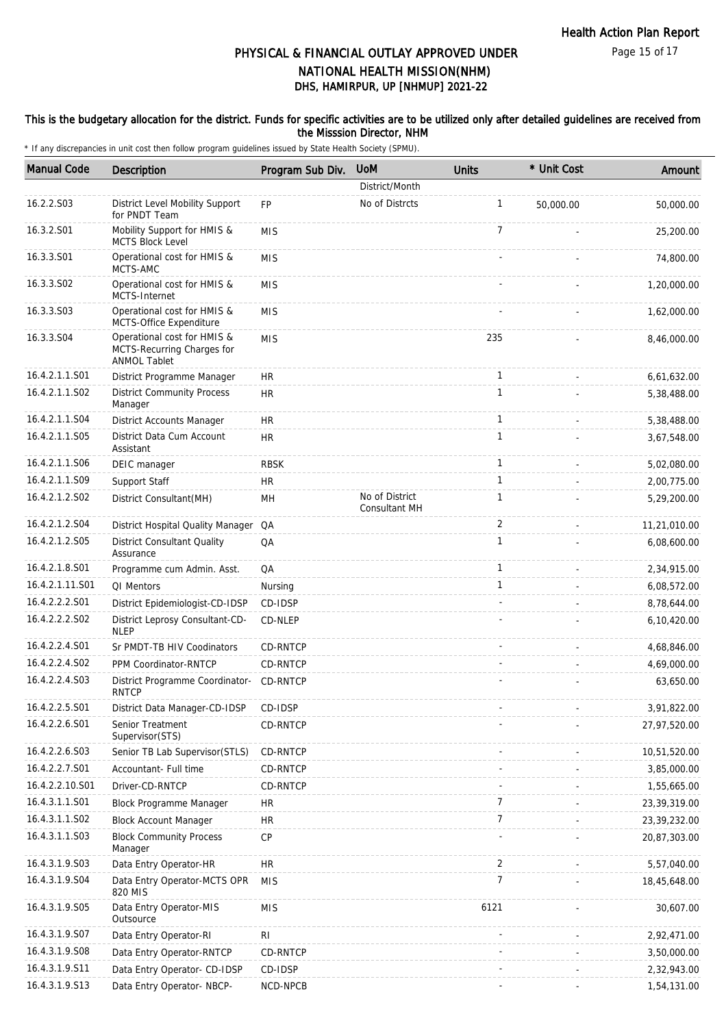#### This is the budgetary allocation for the district. Funds for specific activities are to be utilized only after detailed guidelines are received from the Misssion Director, NHM

| <b>Manual Code</b> | Description                                                                      | Program Sub Div. | <b>UoM</b>                             | <b>Units</b>   | * Unit Cost | Amount       |
|--------------------|----------------------------------------------------------------------------------|------------------|----------------------------------------|----------------|-------------|--------------|
|                    |                                                                                  |                  | District/Month                         |                |             |              |
| 16.2.2.S03         | District Level Mobility Support<br>for PNDT Team                                 | <b>FP</b>        | No of Distrcts                         | $\mathbf{1}$   | 50,000.00   | 50,000.00    |
| 16.3.2.S01         | Mobility Support for HMIS &<br><b>MCTS Block Level</b>                           | <b>MIS</b>       |                                        | $\overline{7}$ |             | 25,200.00    |
| 16.3.3.S01         | Operational cost for HMIS &<br>MCTS-AMC                                          | <b>MIS</b>       |                                        |                |             | 74,800.00    |
| 16.3.3.S02         | Operational cost for HMIS &<br>MCTS-Internet                                     | <b>MIS</b>       |                                        |                |             | 1,20,000.00  |
| 16.3.3.S03         | Operational cost for HMIS &<br>MCTS-Office Expenditure                           | <b>MIS</b>       |                                        |                |             | 1,62,000.00  |
| 16.3.3.S04         | Operational cost for HMIS &<br>MCTS-Recurring Charges for<br><b>ANMOL Tablet</b> | <b>MIS</b>       |                                        | 235            |             | 8,46,000.00  |
| 16.4.2.1.1.S01     | District Programme Manager                                                       | HR.              |                                        | $\mathbf{1}$   |             | 6,61,632.00  |
| 16.4.2.1.1.S02     | <b>District Community Process</b><br>Manager                                     | <b>HR</b>        |                                        | $\mathbf{1}$   |             | 5,38,488.00  |
| 16.4.2.1.1.S04     | <b>District Accounts Manager</b>                                                 | HR               |                                        | $\mathbf{1}$   |             | 5,38,488.00  |
| 16.4.2.1.1.S05     | District Data Cum Account<br>Assistant                                           | <b>HR</b>        |                                        | $\mathbf{1}$   |             | 3,67,548.00  |
| 16.4.2.1.1.S06     | DEIC manager                                                                     | <b>RBSK</b>      |                                        | $\mathbf{1}$   |             | 5,02,080.00  |
| 16.4.2.1.1.S09     | Support Staff                                                                    | HR.              |                                        | $\mathbf{1}$   |             | 2,00,775.00  |
| 16.4.2.1.2.S02     | District Consultant(MH)                                                          | MH               | No of District<br><b>Consultant MH</b> | $\mathbf{1}$   |             | 5,29,200.00  |
| 16.4.2.1.2.S04     | District Hospital Quality Manager QA                                             |                  |                                        | 2              |             | 11,21,010.00 |
| 16.4.2.1.2.S05     | <b>District Consultant Quality</b><br>Assurance                                  | QA               |                                        | $\mathbf{1}$   |             | 6,08,600.00  |
| 16.4.2.1.8.S01     | Programme cum Admin. Asst.                                                       | QA               |                                        | $\mathbf{1}$   |             | 2,34,915.00  |
| 16.4.2.1.11.S01    | QI Mentors                                                                       | Nursing          |                                        | $\mathbf{1}$   |             | 6,08,572.00  |
| 16.4.2.2.2.S01     | District Epidemiologist-CD-IDSP                                                  | CD-IDSP          |                                        |                |             | 8,78,644.00  |
| 16.4.2.2.2.S02     | District Leprosy Consultant-CD-<br><b>NLEP</b>                                   | CD-NLEP          |                                        |                |             | 6,10,420.00  |
| 16.4.2.2.4.S01     | Sr PMDT-TB HIV Coodinators                                                       | CD-RNTCP         |                                        |                |             | 4,68,846.00  |
| 16.4.2.2.4.S02     | PPM Coordinator-RNTCP                                                            | CD-RNTCP         |                                        |                |             | 4,69,000.00  |
| 16.4.2.2.4.S03     | District Programme Coordinator-<br><b>RNTCP</b>                                  | CD-RNTCP         |                                        |                |             | 63,650.00    |
| 16.4.2.2.5.S01     | District Data Manager-CD-IDSP                                                    | CD-IDSP          |                                        |                |             | 3,91,822.00  |
| 16.4.2.2.6.S01     | Senior Treatment<br>Supervisor(STS)                                              | CD-RNTCP         |                                        |                |             | 27,97,520.00 |
| 16.4.2.2.6.S03     | Senior TB Lab Supervisor(STLS)                                                   | CD-RNTCP         |                                        |                |             | 10,51,520.00 |
| 16.4.2.2.7.S01     | Accountant- Full time                                                            | CD-RNTCP         |                                        |                |             | 3,85,000.00  |
| 16.4.2.2.10.S01    | Driver-CD-RNTCP                                                                  | CD-RNTCP         |                                        |                |             | 1,55,665.00  |
| 16.4.3.1.1.S01     | <b>Block Programme Manager</b>                                                   | <b>HR</b>        |                                        | 7              |             | 23,39,319.00 |
| 16.4.3.1.1.S02     | <b>Block Account Manager</b>                                                     | HR.              |                                        | $\overline{7}$ |             | 23,39,232.00 |
| 16.4.3.1.1.S03     | <b>Block Community Process</b><br>Manager                                        | CP               |                                        |                |             | 20,87,303.00 |
| 16.4.3.1.9.S03     | Data Entry Operator-HR                                                           | <b>HR</b>        |                                        | 2              |             | 5,57,040.00  |
| 16.4.3.1.9.S04     | Data Entry Operator-MCTS OPR<br>820 MIS                                          | <b>MIS</b>       |                                        | $\overline{7}$ |             | 18,45,648.00 |
| 16.4.3.1.9.S05     | Data Entry Operator-MIS<br>Outsource                                             | <b>MIS</b>       |                                        | 6121           |             | 30,607.00    |
| 16.4.3.1.9.S07     | Data Entry Operator-RI                                                           | RI               |                                        |                |             | 2,92,471.00  |
| 16.4.3.1.9.S08     | Data Entry Operator-RNTCP                                                        | CD-RNTCP         |                                        |                |             | 3,50,000.00  |
| 16.4.3.1.9.S11     | Data Entry Operator- CD-IDSP                                                     | CD-IDSP          |                                        |                |             | 2,32,943.00  |
| 16.4.3.1.9.S13     | Data Entry Operator- NBCP-                                                       | NCD-NPCB         |                                        |                |             | 1,54,131.00  |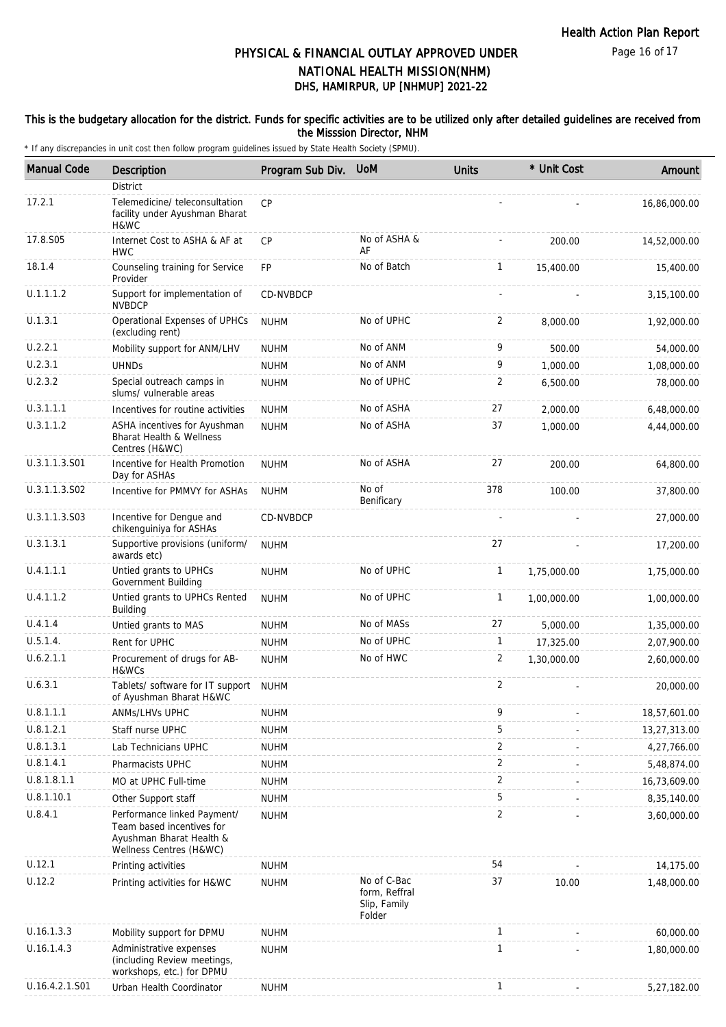#### This is the budgetary allocation for the district. Funds for specific activities are to be utilized only after detailed guidelines are received from the Misssion Director, NHM

| <b>Manual Code</b> | Description                                                                                                     | Program Sub Div. | <b>UoM</b>                                             | <b>Units</b>   | * Unit Cost | Amount       |
|--------------------|-----------------------------------------------------------------------------------------------------------------|------------------|--------------------------------------------------------|----------------|-------------|--------------|
|                    | District                                                                                                        |                  |                                                        |                |             |              |
| 17.2.1             | Telemedicine/ teleconsultation<br>facility under Ayushman Bharat<br>H&WC                                        | <b>CP</b>        |                                                        |                |             | 16,86,000.00 |
| 17.8.S05           | Internet Cost to ASHA & AF at<br><b>HWC</b>                                                                     | <b>CP</b>        | No of ASHA &<br>AF                                     |                | 200.00      | 14,52,000.00 |
| 18.1.4             | Counseling training for Service<br>Provider                                                                     | FP               | No of Batch                                            | $\mathbf{1}$   | 15,400.00   | 15,400.00    |
| U.1.1.1.2          | Support for implementation of<br><b>NVBDCP</b>                                                                  | <b>CD-NVBDCP</b> |                                                        |                |             | 3,15,100.00  |
| U.1.3.1            | Operational Expenses of UPHCs<br>(excluding rent)                                                               | <b>NUHM</b>      | No of UPHC                                             | $\overline{2}$ | 8,000.00    | 1,92,000.00  |
| U.2.2.1            | Mobility support for ANM/LHV                                                                                    | <b>NUHM</b>      | No of ANM                                              | 9              | 500.00      | 54,000.00    |
| U.2.3.1            | <b>UHNDs</b>                                                                                                    | <b>NUHM</b>      | No of ANM                                              | 9              | 1,000.00    | 1,08,000.00  |
| U.2.3.2            | Special outreach camps in<br>slums/ vulnerable areas                                                            | <b>NUHM</b>      | No of UPHC                                             | $\overline{2}$ | 6,500.00    | 78,000.00    |
| U.3.1.1.1          | Incentives for routine activities                                                                               | <b>NUHM</b>      | No of ASHA                                             | 27             | 2,000.00    | 6,48,000.00  |
| U.3.1.1.2          | ASHA incentives for Ayushman<br><b>Bharat Health &amp; Wellness</b><br>Centres (H&WC)                           | <b>NUHM</b>      | No of ASHA                                             | 37             | 1,000.00    | 4,44,000.00  |
| U.3.1.1.3.S01      | Incentive for Health Promotion<br>Day for ASHAs                                                                 | <b>NUHM</b>      | No of ASHA                                             | 27             | 200.00      | 64,800.00    |
| U.3.1.1.3.S02      | Incentive for PMMVY for ASHAs                                                                                   | <b>NUHM</b>      | No of<br>Benificary                                    | 378            | 100.00      | 37,800.00    |
| U.3.1.1.3.S03      | Incentive for Dengue and<br>chikenguiniya for ASHAs                                                             | CD-NVBDCP        |                                                        |                |             | 27,000.00    |
| U.3.1.3.1          | Supportive provisions (uniform/<br>awards etc)                                                                  | <b>NUHM</b>      |                                                        | 27             |             | 17,200.00    |
| U.4.1.1.1          | Untied grants to UPHCs<br>Government Building                                                                   | <b>NUHM</b>      | No of UPHC                                             | $\mathbf{1}$   | 1,75,000.00 | 1,75,000.00  |
| U.4.1.1.2          | Untied grants to UPHCs Rented<br>Building                                                                       | <b>NUHM</b>      | No of UPHC                                             | $\mathbf{1}$   | 1,00,000.00 | 1,00,000.00  |
| U.4.1.4            | Untied grants to MAS                                                                                            | <b>NUHM</b>      | No of MASs                                             | 27             | 5,000.00    | 1,35,000.00  |
| U.5.1.4.           | Rent for UPHC                                                                                                   | <b>NUHM</b>      | No of UPHC                                             | $\mathbf{1}$   | 17,325.00   | 2,07,900.00  |
| U.6.2.1.1          | Procurement of drugs for AB-<br>H&WCs                                                                           | <b>NUHM</b>      | No of HWC                                              | $\overline{2}$ | 1,30,000.00 | 2,60,000.00  |
| U.6.3.1            | Tablets/ software for IT support<br>of Ayushman Bharat H&WC                                                     | <b>NUHM</b>      |                                                        | 2              |             | 20,000.00    |
| U.8.1.1.1          | ANMs/LHVs UPHC                                                                                                  | <b>NUHM</b>      |                                                        | 9              |             | 18,57,601.00 |
| U.8.1.2.1          | Staff nurse UPHC                                                                                                | <b>NUHM</b>      |                                                        | 5              |             | 13,27,313.00 |
| U.8.1.3.1          | Lab Technicians UPHC                                                                                            | <b>NUHM</b>      |                                                        | $\overline{2}$ |             | 4,27,766.00  |
| U.8.1.4.1          | Pharmacists UPHC                                                                                                | <b>NUHM</b>      |                                                        | $\overline{2}$ |             | 5,48,874.00  |
| U.8.1.8.1.1        | MO at UPHC Full-time                                                                                            | <b>NUHM</b>      |                                                        | $\overline{2}$ |             | 16,73,609.00 |
| U.8.1.10.1         | Other Support staff                                                                                             | <b>NUHM</b>      |                                                        | $\mathbf 5$    |             | 8,35,140.00  |
| U.8.4.1            | Performance linked Payment/<br>Team based incentives for<br>Ayushman Bharat Health &<br>Wellness Centres (H&WC) | <b>NUHM</b>      |                                                        | $\overline{2}$ |             | 3,60,000.00  |
| U.12.1             | Printing activities                                                                                             | <b>NUHM</b>      |                                                        | 54             |             | 14,175.00    |
| U.12.2             | Printing activities for H&WC                                                                                    | <b>NUHM</b>      | No of C-Bac<br>form, Reffral<br>Slip, Family<br>Folder | 37             | 10.00       | 1,48,000.00  |
| U.16.1.3.3         | Mobility support for DPMU                                                                                       | <b>NUHM</b>      |                                                        | $\mathbf{1}$   |             | 60,000.00    |
| U.16.1.4.3         | Administrative expenses<br>(including Review meetings,<br>workshops, etc.) for DPMU                             | <b>NUHM</b>      |                                                        | $\mathbf{1}$   |             | 1,80,000.00  |
| U.16.4.2.1.S01     | Urban Health Coordinator                                                                                        | <b>NUHM</b>      |                                                        | $\mathbf{1}$   |             | 5,27,182.00  |